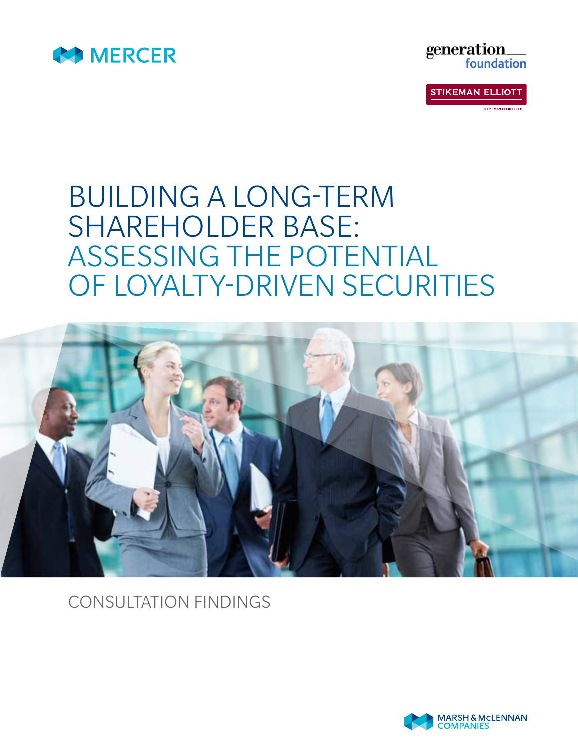



**STIKEMAN ELLIOTT STIKEMAN ELLIOTT LLE** 

## BUILDING A LONG-TERM SHAREHOLDER BASE: ASSESSING THE POTENTIAL OF LOYALTY-DRIVEN SECURITIES



CONSULTATION FINDINGS

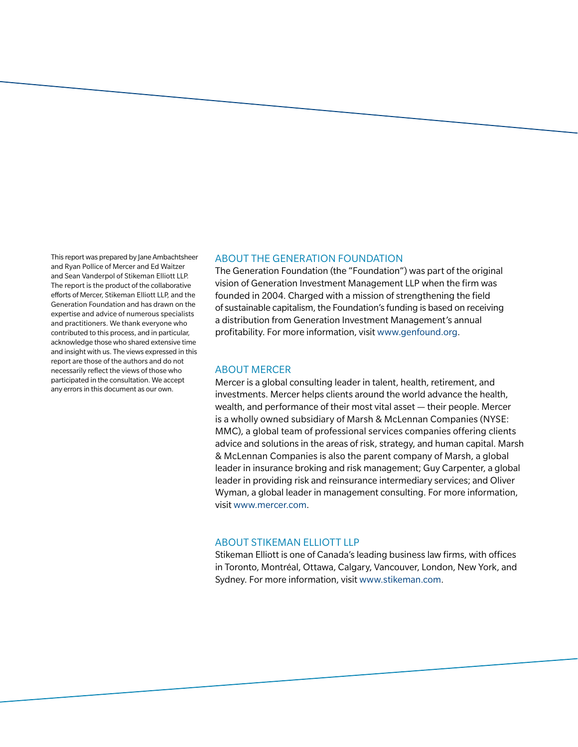This report was prepared by Jane Ambachtsheer and Ryan Pollice of Mercer and Ed Waitzer and Sean Vanderpol of Stikeman Elliott LLP. The report is the product of the collaborative efforts of Mercer, Stikeman Elliott LLP, and the Generation Foundation and has drawn on the expertise and advice of numerous specialists and practitioners. We thank everyone who contributed to this process, and in particular, acknowledge those who shared extensive time and insight with us. The views expressed in this report are those of the authors and do not necessarily reflect the views of those who participated in the consultation. We accept any errors in this document as our own.

#### ABOUT THE GENERATION FOUNDATION

The Generation Foundation (the "Foundation") was part of the original vision of Generation Investment Management LLP when the firm was founded in 2004. Charged with a mission of strengthening the field of sustainable capitalism, the Foundation's funding is based on receiving a distribution from Generation Investment Management's annual profitability. For more information, visit www.genfound.org.

#### ABOUT MERCER

Mercer is a global consulting leader in talent, health, retirement, and investments. Mercer helps clients around the world advance the health, wealth, and performance of their most vital asset — their people. Mercer is a wholly owned subsidiary of Marsh & McLennan Companies (NYSE: MMC), a global team of professional services companies offering clients advice and solutions in the areas of risk, strategy, and human capital. Marsh & McLennan Companies is also the parent company of Marsh, a global leader in insurance broking and risk management; Guy Carpenter, a global leader in providing risk and reinsurance intermediary services; and Oliver Wyman, a global leader in management consulting. For more information, visit www.mercer.com.

#### ABOUT STIKEMAN ELLIOTT LLP

Stikeman Elliott is one of Canada's leading business law firms, with offices in Toronto, Montréal, Ottawa, Calgary, Vancouver, London, New York, and Sydney. For more information, visit www.stikeman.com.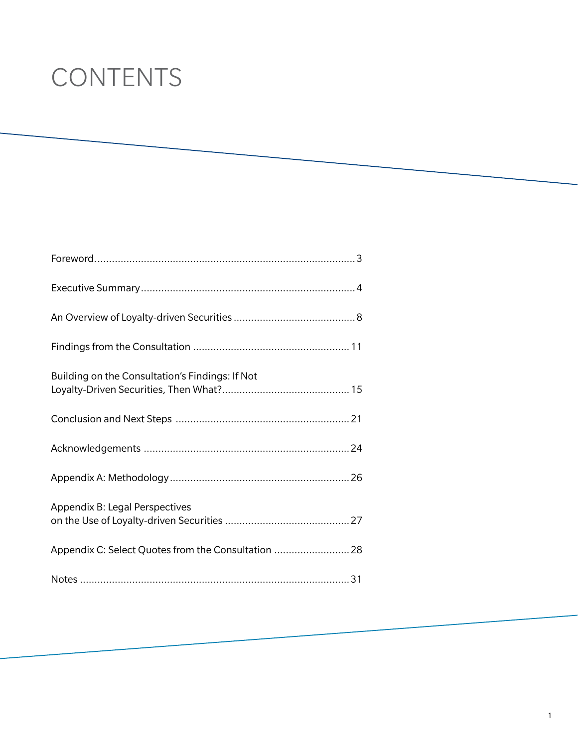# **CONTENTS**

| Building on the Consultation's Findings: If Not     |  |
|-----------------------------------------------------|--|
|                                                     |  |
|                                                     |  |
|                                                     |  |
| Appendix B: Legal Perspectives                      |  |
| Appendix C: Select Quotes from the Consultation  28 |  |
|                                                     |  |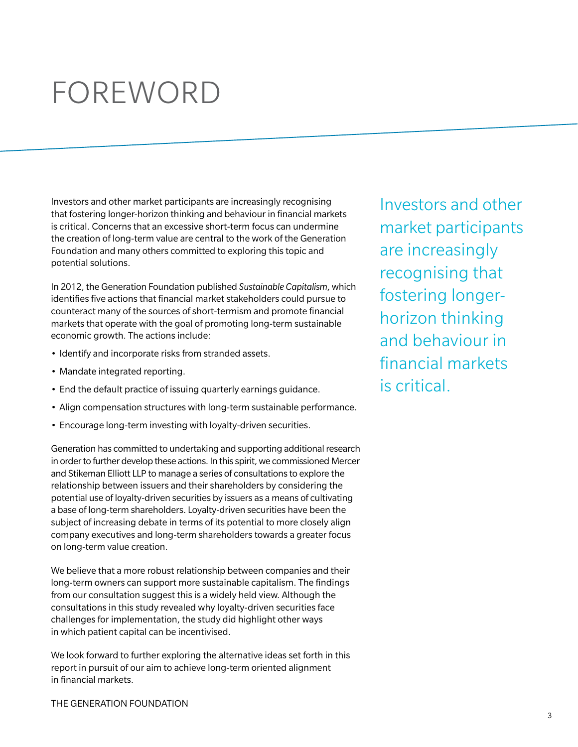# **FOREWORD**

Investors and other market participants are increasingly recognising that fostering longer-horizon thinking and behaviour in financial markets is critical. Concerns that an excessive short-term focus can undermine the creation of long-term value are central to the work of the Generation Foundation and many others committed to exploring this topic and potential solutions.

In 2012, the Generation Foundation published *Sustainable Capitalism*, which identifies five actions that financial market stakeholders could pursue to counteract many of the sources of short-termism and promote financial markets that operate with the goal of promoting long-term sustainable economic growth. The actions include:

- Identify and incorporate risks from stranded assets.
- Mandate integrated reporting.
- End the default practice of issuing quarterly earnings guidance.
- Align compensation structures with long-term sustainable performance.
- Encourage long-term investing with loyalty-driven securities.

Generation has committed to undertaking and supporting additional research in order to further develop these actions. In this spirit, we commissioned Mercer and Stikeman Elliott LLP to manage a series of consultations to explore the relationship between issuers and their shareholders by considering the potential use of loyalty-driven securities by issuers as a means of cultivating a base of long-term shareholders. Loyalty-driven securities have been the subject of increasing debate in terms of its potential to more closely align company executives and long-term shareholders towards a greater focus on long-term value creation.

We believe that a more robust relationship between companies and their long-term owners can support more sustainable capitalism. The findings from our consultation suggest this is a widely held view. Although the consultations in this study revealed why loyalty-driven securities face challenges for implementation, the study did highlight other ways in which patient capital can be incentivised.

We look forward to further exploring the alternative ideas set forth in this report in pursuit of our aim to achieve long-term oriented alignment in financial markets.

Investors and other market participants are increasingly recognising that fostering longerhorizon thinking and behaviour in financial markets is critical.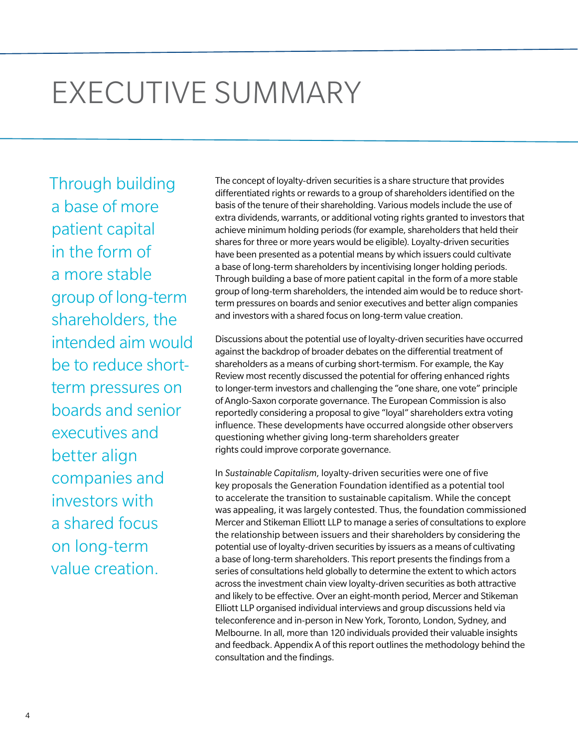# EXECUTIVE SUMMARY

Through building a base of more patient capital in the form of a more stable group of long-term shareholders, the intended aim would be to reduce shortterm pressures on boards and senior executives and better align companies and investors with a shared focus on long-term value creation.

The concept of loyalty-driven securities is a share structure that provides differentiated rights or rewards to a group of shareholders identified on the basis of the tenure of their shareholding. Various models include the use of extra dividends, warrants, or additional voting rights granted to investors that achieve minimum holding periods (for example, shareholders that held their shares for three or more years would be eligible). Loyalty-driven securities have been presented as a potential means by which issuers could cultivate a base of long-term shareholders by incentivising longer holding periods. Through building a base of more patient capital in the form of a more stable group of long-term shareholders, the intended aim would be to reduce shortterm pressures on boards and senior executives and better align companies and investors with a shared focus on long-term value creation.

Discussions about the potential use of loyalty-driven securities have occurred against the backdrop of broader debates on the differential treatment of shareholders as a means of curbing short-termism. For example, the Kay Review most recently discussed the potential for offering enhanced rights to longer-term investors and challenging the "one share, one vote" principle of Anglo-Saxon corporate governance. The European Commission is also reportedly considering a proposal to give "loyal" shareholders extra voting influence. These developments have occurred alongside other observers questioning whether giving long-term shareholders greater rights could improve corporate governance.

In *Sustainable Capitalism*, loyalty-driven securities were one of five key proposals the Generation Foundation identified as a potential tool to accelerate the transition to sustainable capitalism. While the concept was appealing, it was largely contested. Thus, the foundation commissioned Mercer and Stikeman Elliott LLP to manage a series of consultations to explore the relationship between issuers and their shareholders by considering the potential use of loyalty-driven securities by issuers as a means of cultivating a base of long-term shareholders. This report presents the findings from a series of consultations held globally to determine the extent to which actors across the investment chain view loyalty-driven securities as both attractive and likely to be effective. Over an eight-month period, Mercer and Stikeman Elliott LLP organised individual interviews and group discussions held via teleconference and in-person in New York, Toronto, London, Sydney, and Melbourne. In all, more than 120 individuals provided their valuable insights and feedback. Appendix A of this report outlines the methodology behind the consultation and the findings.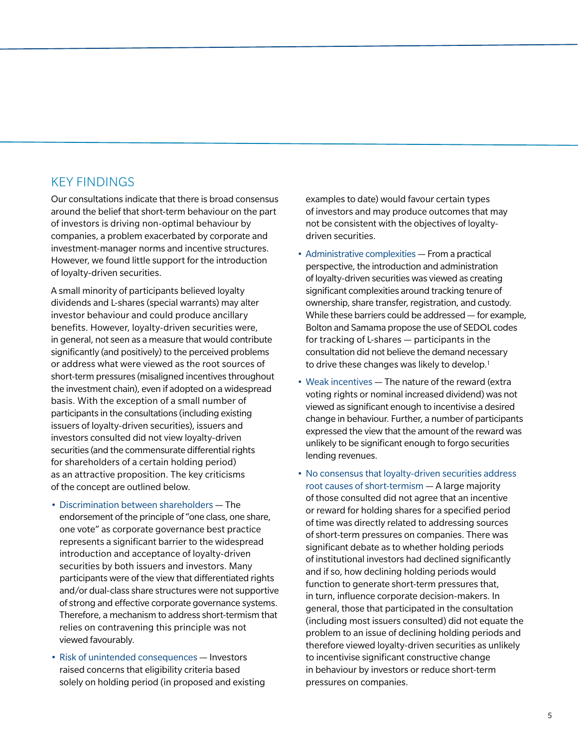#### KEY FINDINGS

Our consultations indicate that there is broad consensus around the belief that short-term behaviour on the part of investors is driving non-optimal behaviour by companies, a problem exacerbated by corporate and investment-manager norms and incentive structures. However, we found little support for the introduction of loyalty-driven securities.

A small minority of participants believed loyalty dividends and L-shares (special warrants) may alter investor behaviour and could produce ancillary benefits. However, loyalty-driven securities were, in general, not seen as a measure that would contribute significantly (and positively) to the perceived problems or address what were viewed as the root sources of short-term pressures (misaligned incentives throughout the investment chain), even if adopted on a widespread basis. With the exception of a small number of participants in the consultations (including existing issuers of loyalty-driven securities), issuers and investors consulted did not view loyalty-driven securities (and the commensurate differential rights for shareholders of a certain holding period) as an attractive proposition. The key criticisms of the concept are outlined below.

- Discrimination between shareholders The endorsement of the principle of "one class, one share, one vote" as corporate governance best practice represents a significant barrier to the widespread introduction and acceptance of loyalty-driven securities by both issuers and investors. Many participants were of the view that differentiated rights and/or dual-class share structures were not supportive of strong and effective corporate governance systems. Therefore, a mechanism to address short-termism that relies on contravening this principle was not viewed favourably.
- Risk of unintended consequences Investors raised concerns that eligibility criteria based solely on holding period (in proposed and existing

examples to date) would favour certain types of investors and may produce outcomes that may not be consistent with the objectives of loyaltydriven securities.

- Administrative complexities From a practical perspective, the introduction and administration of loyalty-driven securities was viewed as creating significant complexities around tracking tenure of ownership, share transfer, registration, and custody. While these barriers could be addressed — for example, Bolton and Samama propose the use of SEDOL codes for tracking of L-shares — participants in the consultation did not believe the demand necessary to drive these changes was likely to develop.<sup>1</sup>
- Weak incentives The nature of the reward (extra voting rights or nominal increased dividend) was not viewed as significant enough to incentivise a desired change in behaviour. Further, a number of participants expressed the view that the amount of the reward was unlikely to be significant enough to forgo securities lending revenues.
- No consensus that loyalty-driven securities address root causes of short-termism — A large majority of those consulted did not agree that an incentive or reward for holding shares for a specified period of time was directly related to addressing sources of short-term pressures on companies. There was significant debate as to whether holding periods of institutional investors had declined significantly and if so, how declining holding periods would function to generate short-term pressures that, in turn, influence corporate decision-makers. In general, those that participated in the consultation (including most issuers consulted) did not equate the problem to an issue of declining holding periods and therefore viewed loyalty-driven securities as unlikely to incentivise significant constructive change in behaviour by investors or reduce short-term pressures on companies.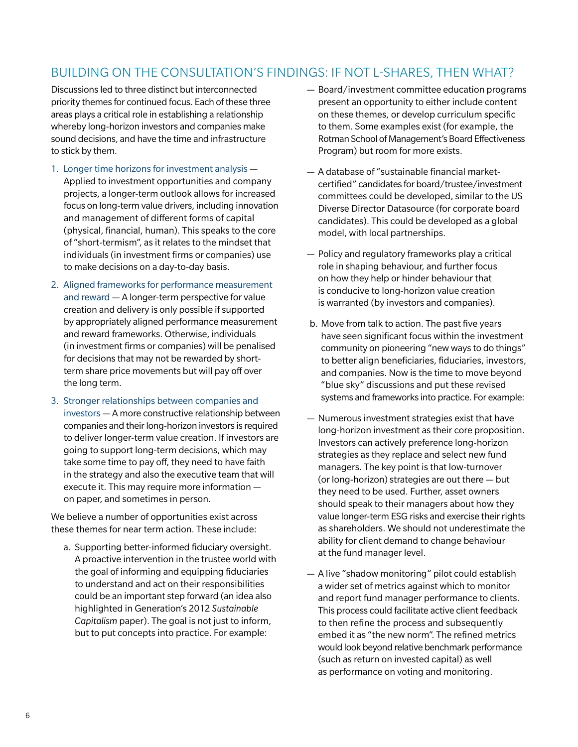#### BUILDING ON THE CONSULTATION'S FINDINGS: IF NOT L-SHARES, THEN WHAT?

Discussions led to three distinct but interconnected priority themes for continued focus. Each of these three areas plays a critical role in establishing a relationship whereby long-horizon investors and companies make sound decisions, and have the time and infrastructure to stick by them.

- 1. Longer time horizons for investment analysis Applied to investment opportunities and company projects, a longer-term outlook allows for increased focus on long-term value drivers, including innovation and management of different forms of capital (physical, financial, human). This speaks to the core of "short-termism", as it relates to the mindset that individuals (in investment firms or companies) use to make decisions on a day-to-day basis.
- 2. Aligned frameworks for performance measurement and reward — A longer-term perspective for value creation and delivery is only possible if supported by appropriately aligned performance measurement and reward frameworks. Otherwise, individuals (in investment firms or companies) will be penalised for decisions that may not be rewarded by shortterm share price movements but will pay off over the long term.
- 3. Stronger relationships between companies and investors — A more constructive relationship between companies and their long-horizon investors is required to deliver longer-term value creation. If investors are going to support long-term decisions, which may take some time to pay off, they need to have faith in the strategy and also the executive team that will execute it. This may require more information on paper, and sometimes in person.

We believe a number of opportunities exist across these themes for near term action. These include:

a. Supporting better-informed fiduciary oversight. A proactive intervention in the trustee world with the goal of informing and equipping fiduciaries to understand and act on their responsibilities could be an important step forward (an idea also highlighted in Generation's 2012 *Sustainable Capitalism* paper). The goal is not just to inform, but to put concepts into practice. For example:

- Board/investment committee education programs present an opportunity to either include content on these themes, or develop curriculum specific to them. Some examples exist (for example, the Rotman School of Management's Board Effectiveness Program) but room for more exists.
- A database of "sustainable financial marketcertified" candidates for board/trustee/investment committees could be developed, similar to the US Diverse Director Datasource (for corporate board candidates). This could be developed as a global model, with local partnerships.
- Policy and regulatory frameworks play a critical role in shaping behaviour, and further focus on how they help or hinder behaviour that is conducive to long-horizon value creation is warranted (by investors and companies).
- b. Move from talk to action. The past five years have seen significant focus within the investment community on pioneering "new ways to do things" to better align beneficiaries, fiduciaries, investors, and companies. Now is the time to move beyond "blue sky" discussions and put these revised systems and frameworks into practice. For example:
- Numerous investment strategies exist that have long-horizon investment as their core proposition. Investors can actively preference long-horizon strategies as they replace and select new fund managers. The key point is that low-turnover (or long-horizon) strategies are out there — but they need to be used. Further, asset owners should speak to their managers about how they value longer-term ESG risks and exercise their rights as shareholders. We should not underestimate the ability for client demand to change behaviour at the fund manager level.
- A live "shadow monitoring" pilot could establish a wider set of metrics against which to monitor and report fund manager performance to clients. This process could facilitate active client feedback to then refine the process and subsequently embed it as "the new norm". The refined metrics would look beyond relative benchmark performance (such as return on invested capital) as well as performance on voting and monitoring.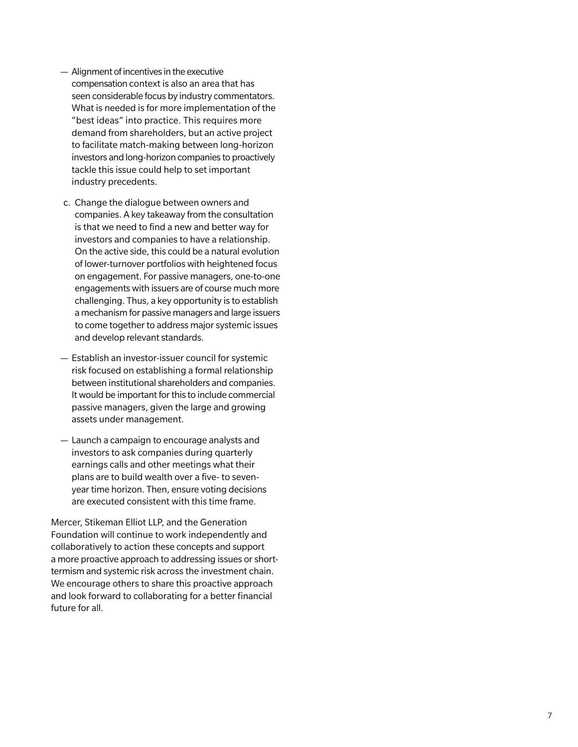- Alignment of incentives in the executive compensation context is also an area that has seen considerable focus by industry commentators. What is needed is for more implementation of the "best ideas" into practice. This requires more demand from shareholders, but an active project to facilitate match-making between long-horizon investors and long-horizon companies to proactively tackle this issue could help to set important industry precedents.
- c. Change the dialogue between owners and companies. A key takeaway from the consultation is that we need to find a new and better way for investors and companies to have a relationship. On the active side, this could be a natural evolution of lower-turnover portfolios with heightened focus on engagement. For passive managers, one-to-one engagements with issuers are of course much more challenging. Thus, a key opportunity is to establish a mechanism for passive managers and large issuers to come together to address major systemic issues and develop relevant standards.
- Establish an investor-issuer council for systemic risk focused on establishing a formal relationship between institutional shareholders and companies. It would be important for this to include commercial passive managers, given the large and growing assets under management.
- Launch a campaign to encourage analysts and investors to ask companies during quarterly earnings calls and other meetings what their plans are to build wealth over a five- to sevenyear time horizon. Then, ensure voting decisions are executed consistent with this time frame.

Mercer, Stikeman Elliot LLP, and the Generation Foundation will continue to work independently and collaboratively to action these concepts and support a more proactive approach to addressing issues or shorttermism and systemic risk across the investment chain. We encourage others to share this proactive approach and look forward to collaborating for a better financial future for all.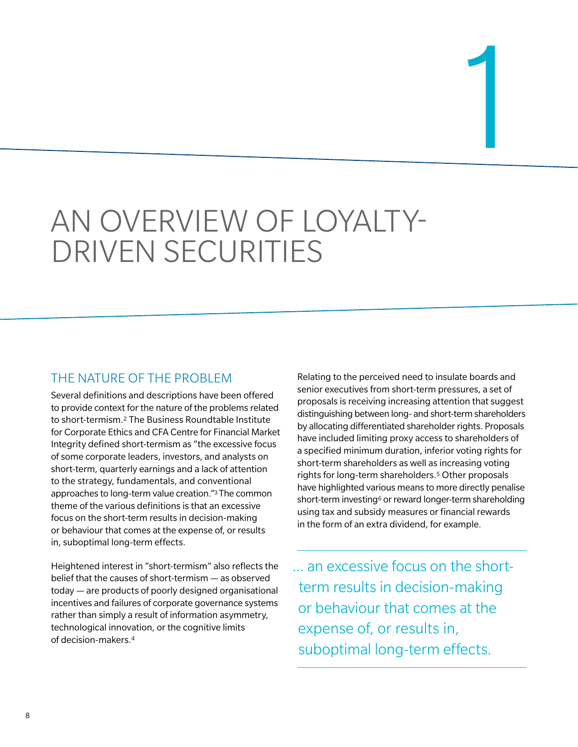# AN OVERVIEW OF LOYALTY-DRIVEN SECURITIES

#### THE NATURE OF THE PROBLEM

Several definitions and descriptions have been offered to provide context for the nature of the problems related to short-termism.2 The Business Roundtable Institute for Corporate Ethics and CFA Centre for Financial Market Integrity defined short-termism as "the excessive focus of some corporate leaders, investors, and analysts on short-term, quarterly earnings and a lack of attention to the strategy, fundamentals, and conventional approaches to long-term value creation."3 The common theme of the various definitions is that an excessive focus on the short-term results in decision-making or behaviour that comes at the expense of, or results in, suboptimal long-term effects.

Heightened interest in "short-termism" also reflects the belief that the causes of short-termism — as observed today — are products of poorly designed organisational incentives and failures of corporate governance systems rather than simply a result of information asymmetry, technological innovation, or the cognitive limits of decision-makers.4

Relating to the perceived need to insulate boards and senior executives from short-term pressures, a set of proposals is receiving increasing attention that suggest distinguishing between long- and short-term shareholders by allocating differentiated shareholder rights. Proposals have included limiting proxy access to shareholders of a specified minimum duration, inferior voting rights for short-term shareholders as well as increasing voting rights for long-term shareholders.5 Other proposals have highlighted various means to more directly penalise short-term investing<sup>6</sup> or reward longer-term shareholding using tax and subsidy measures or financial rewards in the form of an extra dividend, for example.

... an excessive focus on the shortterm results in decision-making or behaviour that comes at the expense of, or results in, suboptimal long-term effects.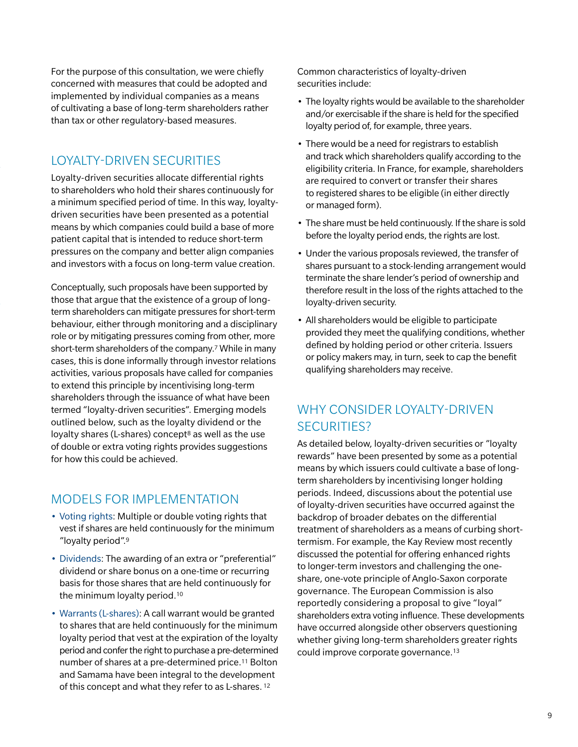For the purpose of this consultation, we were chiefly concerned with measures that could be adopted and implemented by individual companies as a means of cultivating a base of long-term shareholders rather than tax or other regulatory-based measures.

#### LOYALTY-DRIVEN SECURITIES

Loyalty-driven securities allocate differential rights to shareholders who hold their shares continuously for a minimum specified period of time. In this way, loyaltydriven securities have been presented as a potential means by which companies could build a base of more patient capital that is intended to reduce short-term pressures on the company and better align companies and investors with a focus on long-term value creation.

Conceptually, such proposals have been supported by those that argue that the existence of a group of longterm shareholders can mitigate pressures for short-term behaviour, either through monitoring and a disciplinary role or by mitigating pressures coming from other, more short-term shareholders of the company.7 While in many cases, this is done informally through investor relations activities, various proposals have called for companies to extend this principle by incentivising long-term shareholders through the issuance of what have been termed "loyalty-driven securities". Emerging models outlined below, such as the loyalty dividend or the loyalty shares (L-shares) concept<sup>8</sup> as well as the use of double or extra voting rights provides suggestions for how this could be achieved.

#### MODELS FOR IMPLEMENTATION

- Voting rights: Multiple or double voting rights that vest if shares are held continuously for the minimum "loyalty period".9
- Dividends: The awarding of an extra or "preferential" dividend or share bonus on a one-time or recurring basis for those shares that are held continuously for the minimum loyalty period.10
- Warrants (L-shares): A call warrant would be granted to shares that are held continuously for the minimum loyalty period that vest at the expiration of the loyalty period and confer the right to purchase a pre-determined number of shares at a pre-determined price.11 Bolton and Samama have been integral to the development of this concept and what they refer to as L-shares. 12

Common characteristics of loyalty-driven securities include:

- The loyalty rights would be available to the shareholder and/or exercisable if the share is held for the specified loyalty period of, for example, three years.
- There would be a need for registrars to establish and track which shareholders qualify according to the eligibility criteria. In France, for example, shareholders are required to convert or transfer their shares to registered shares to be eligible (in either directly or managed form).
- The share must be held continuously. If the share is sold before the loyalty period ends, the rights are lost.
- Under the various proposals reviewed, the transfer of shares pursuant to a stock-lending arrangement would terminate the share lender's period of ownership and therefore result in the loss of the rights attached to the loyalty-driven security.
- All shareholders would be eligible to participate provided they meet the qualifying conditions, whether defined by holding period or other criteria. Issuers or policy makers may, in turn, seek to cap the benefit qualifying shareholders may receive.

#### WHY CONSIDER LOYALTY-DRIVEN SECURITIES?

As detailed below, loyalty-driven securities or "loyalty rewards" have been presented by some as a potential means by which issuers could cultivate a base of longterm shareholders by incentivising longer holding periods. Indeed, discussions about the potential use of loyalty-driven securities have occurred against the backdrop of broader debates on the differential treatment of shareholders as a means of curbing shorttermism. For example, the Kay Review most recently discussed the potential for offering enhanced rights to longer-term investors and challenging the oneshare, one-vote principle of Anglo-Saxon corporate governance. The European Commission is also reportedly considering a proposal to give "loyal" shareholders extra voting influence. These developments have occurred alongside other observers questioning whether giving long-term shareholders greater rights could improve corporate governance.13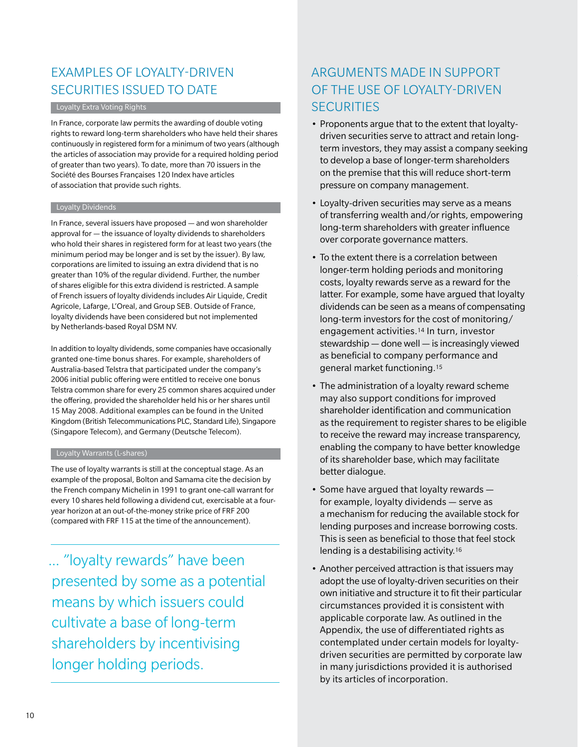#### EXAMPLES OF LOYALTY-DRIVEN SECURITIES ISSUED TO DATE

#### **Loyalty Extra Voting Rights**

In France, corporate law permits the awarding of double voting rights to reward long-term shareholders who have held their shares continuously in registered form for a minimum of two years (although the articles of association may provide for a required holding period of greater than two years). To date, more than 70 issuers in the Société des Bourses Françaises 120 Index have articles of association that provide such rights.

#### **Loyalty Dividends**

In France, several issuers have proposed — and won shareholder approval for — the issuance of loyalty dividends to shareholders who hold their shares in registered form for at least two years (the minimum period may be longer and is set by the issuer). By law, corporations are limited to issuing an extra dividend that is no greater than 10% of the regular dividend. Further, the number of shares eligible for this extra dividend is restricted. A sample of French issuers of loyalty dividends includes Air Liquide, Credit Agricole, Lafarge, L'Oreal, and Group SEB. Outside of France, loyalty dividends have been considered but not implemented by Netherlands-based Royal DSM NV.

In addition to loyalty dividends, some companies have occasionally granted one-time bonus shares. For example, shareholders of Australia-based Telstra that participated under the company's 2006 initial public offering were entitled to receive one bonus Telstra common share for every 25 common shares acquired under the offering, provided the shareholder held his or her shares until 15 May 2008. Additional examples can be found in the United Kingdom (British Telecommunications PLC, Standard Life), Singapore (Singapore Telecom), and Germany (Deutsche Telecom).

#### **Loyalty Warrants (L-shares)**

The use of loyalty warrants is still at the conceptual stage. As an example of the proposal, Bolton and Samama cite the decision by the French company Michelin in 1991 to grant one-call warrant for every 10 shares held following a dividend cut, exercisable at a fouryear horizon at an out-of-the-money strike price of FRF 200 (compared with FRF 115 at the time of the announcement).

... "loyalty rewards" have been presented by some as a potential means by which issuers could cultivate a base of long-term shareholders by incentivising longer holding periods.

#### ARGUMENTS MADE IN SUPPORT OF THE USE OF LOYALTY-DRIVEN **SECURITIES**

- Proponents argue that to the extent that loyaltydriven securities serve to attract and retain longterm investors, they may assist a company seeking to develop a base of longer-term shareholders on the premise that this will reduce short-term pressure on company management.
- Loyalty-driven securities may serve as a means of transferring wealth and/or rights, empowering long-term shareholders with greater influence over corporate governance matters.
- To the extent there is a correlation between longer-term holding periods and monitoring costs, loyalty rewards serve as a reward for the latter. For example, some have argued that loyalty dividends can be seen as a means of compensating long-term investors for the cost of monitoring/ engagement activities.14 In turn, investor stewardship — done well — is increasingly viewed as beneficial to company performance and general market functioning.15
- The administration of a loyalty reward scheme may also support conditions for improved shareholder identification and communication as the requirement to register shares to be eligible to receive the reward may increase transparency, enabling the company to have better knowledge of its shareholder base, which may facilitate better dialogue.
- $\bullet$  Some have argued that loyalty rewards  $$ for example, loyalty dividends — serve as a mechanism for reducing the available stock for lending purposes and increase borrowing costs. This is seen as beneficial to those that feel stock lending is a destabilising activity.16
- Another perceived attraction is that issuers may adopt the use of loyalty-driven securities on their own initiative and structure it to fit their particular circumstances provided it is consistent with applicable corporate law. As outlined in the Appendix, the use of differentiated rights as contemplated under certain models for loyaltydriven securities are permitted by corporate law in many jurisdictions provided it is authorised by its articles of incorporation.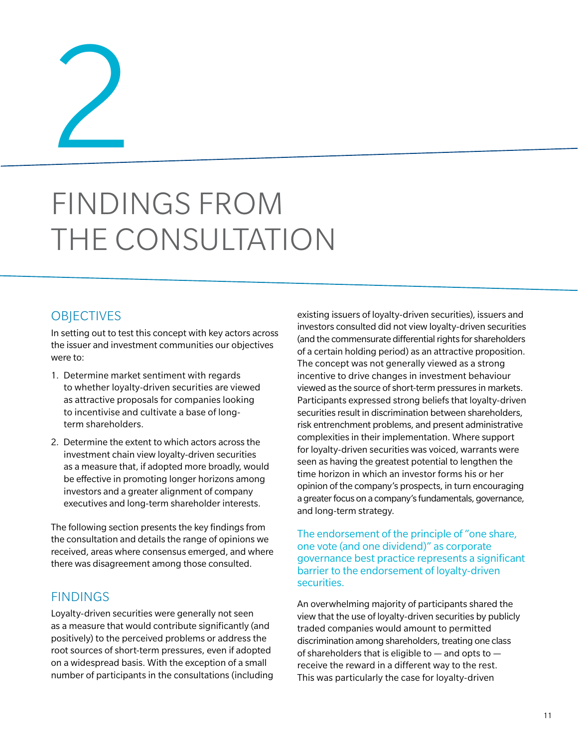2

# FINDINGS FROM THE CONSULTATION

#### **OBJECTIVES**

In setting out to test this concept with key actors across the issuer and investment communities our objectives were to:

- 1. Determine market sentiment with regards to whether loyalty-driven securities are viewed as attractive proposals for companies looking to incentivise and cultivate a base of longterm shareholders.
- 2. Determine the extent to which actors across the investment chain view loyalty-driven securities as a measure that, if adopted more broadly, would be effective in promoting longer horizons among investors and a greater alignment of company executives and long-term shareholder interests.

The following section presents the key findings from the consultation and details the range of opinions we received, areas where consensus emerged, and where there was disagreement among those consulted.

#### FINDINGS

Loyalty-driven securities were generally not seen as a measure that would contribute significantly (and positively) to the perceived problems or address the root sources of short-term pressures, even if adopted on a widespread basis. With the exception of a small number of participants in the consultations (including existing issuers of loyalty-driven securities), issuers and investors consulted did not view loyalty-driven securities (and the commensurate differential rights for shareholders of a certain holding period) as an attractive proposition. The concept was not generally viewed as a strong incentive to drive changes in investment behaviour viewed as the source of short-term pressures in markets. Participants expressed strong beliefs that loyalty-driven securities result in discrimination between shareholders, risk entrenchment problems, and present administrative complexities in their implementation. Where support for loyalty-driven securities was voiced, warrants were seen as having the greatest potential to lengthen the time horizon in which an investor forms his or her opinion of the company's prospects, in turn encouraging a greater focus on a company's fundamentals, governance, and long-term strategy.

The endorsement of the principle of "one share, one vote (and one dividend)" as corporate governance best practice represents a significant barrier to the endorsement of loyalty-driven securities.

An overwhelming majority of participants shared the view that the use of loyalty-driven securities by publicly traded companies would amount to permitted discrimination among shareholders, treating one class of shareholders that is eligible to — and opts to receive the reward in a different way to the rest. This was particularly the case for loyalty-driven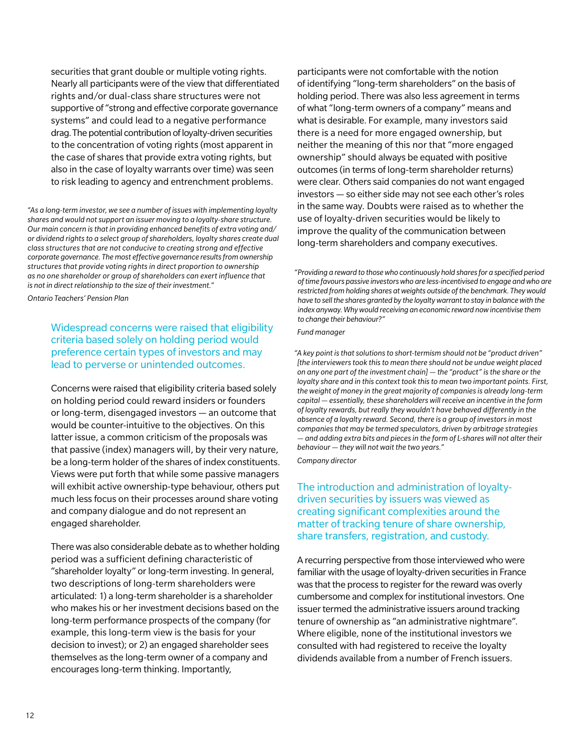securities that grant double or multiple voting rights. Nearly all participants were of the view that differentiated rights and/or dual-class share structures were not supportive of "strong and effective corporate governance systems" and could lead to a negative performance drag.The potential contribution of loyalty-driven securities to the concentration of voting rights (most apparent in the case of shares that provide extra voting rights, but also in the case of loyalty warrants over time) was seen to risk leading to agency and entrenchment problems.

*"As a long-term investor, we see a number of issues with implementing loyalty shares and would not support an issuer moving to a loyalty-share structure. Our main concern is that in providing enhanced benefits of extra voting and/ or dividend rights to a select group of shareholders, loyalty shares create dual class structures that are not conducive to creating strong and effective corporate governance. The most effective governance results from ownership structures that provide voting rights in direct proportion to ownership as no one shareholder or group of shareholders can exert influence that is not in direct relationship to the size of their investment."*

*Ontario Teachers' Pension Plan* 

Widespread concerns were raised that eligibility criteria based solely on holding period would preference certain types of investors and may lead to perverse or unintended outcomes.

Concerns were raised that eligibility criteria based solely on holding period could reward insiders or founders or long-term, disengaged investors — an outcome that would be counter-intuitive to the objectives. On this latter issue, a common criticism of the proposals was that passive (index) managers will, by their very nature, be a long-term holder of the shares of index constituents. Views were put forth that while some passive managers will exhibit active ownership-type behaviour, others put much less focus on their processes around share voting and company dialogue and do not represent an engaged shareholder.

There was also considerable debate as to whether holding period was a sufficient defining characteristic of "shareholder loyalty" or long-term investing. In general, two descriptions of long-term shareholders were articulated: 1) a long-term shareholder is a shareholder who makes his or her investment decisions based on the long-term performance prospects of the company (for example, this long-term view is the basis for your decision to invest); or 2) an engaged shareholder sees themselves as the long-term owner of a company and encourages long-term thinking. Importantly,

participants were not comfortable with the notion of identifying "long-term shareholders" on the basis of holding period. There was also less agreement in terms of what "long-term owners of a company" means and what is desirable. For example, many investors said there is a need for more engaged ownership, but neither the meaning of this nor that "more engaged ownership" should always be equated with positive outcomes (in terms of long-term shareholder returns) were clear. Others said companies do not want engaged investors — so either side may not see each other's roles in the same way. Doubts were raised as to whether the use of loyalty-driven securities would be likely to improve the quality of the communication between long-term shareholders and company executives.

*"Providing a reward to those who continuously hold shares for a specified period of time favours passive investors who are less-incentivised to engage and who are restricted from holding shares at weights outside of the benchmark. They would have to sell the shares granted by the loyalty warrant to stay in balance with the index anyway. Why would receiving an economic reward now incentivise them to change their behaviour?"*

#### *Fund manager*

*"A key point is that solutions to short-termism should not be "product driven" [the interviewers took this to mean there should not be undue weight placed on any one part of the investment chain] — the "product" is the share or the loyalty share and in this context took this to mean two important points. First, the weight of money in the great majority of companies is already long-term capital — essentially, these shareholders will receive an incentive in the form of loyalty rewards, but really they wouldn't have behaved differently in the absence of a loyalty reward. Second, there is a group of investors in most companies that may be termed speculators, driven by arbitrage strategies — and adding extra bits and pieces in the form of L-shares will not alter their behaviour — they will not wait the two years."*

*Company director*

The introduction and administration of loyaltydriven securities by issuers was viewed as creating significant complexities around the matter of tracking tenure of share ownership, share transfers, registration, and custody.

A recurring perspective from those interviewed who were familiar with the usage of loyalty-driven securities in France was that the process to register for the reward was overly cumbersome and complex for institutional investors. One issuer termed the administrative issuers around tracking tenure of ownership as "an administrative nightmare". Where eligible, none of the institutional investors we consulted with had registered to receive the loyalty dividends available from a number of French issuers.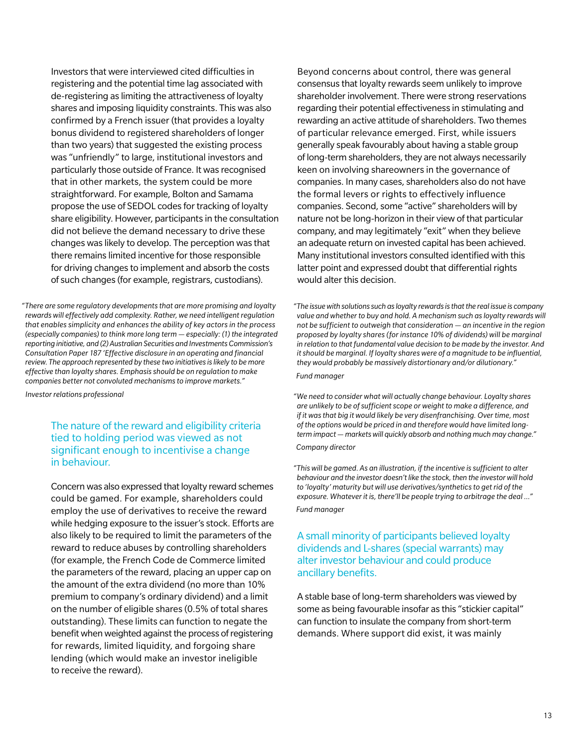Investors that were interviewed cited difficulties in registering and the potential time lag associated with de-registering as limiting the attractiveness of loyalty shares and imposing liquidity constraints. This was also confirmed by a French issuer (that provides a loyalty bonus dividend to registered shareholders of longer than two years) that suggested the existing process was "unfriendly" to large, institutional investors and particularly those outside of France. It was recognised that in other markets, the system could be more straightforward. For example, Bolton and Samama propose the use of SEDOL codes for tracking of loyalty share eligibility. However, participants in the consultation did not believe the demand necessary to drive these changes was likely to develop. The perception was that there remains limited incentive for those responsible for driving changes to implement and absorb the costs of such changes (for example, registrars, custodians).

*"There are some regulatory developments that are more promising and loyalty rewards will effectively add complexity. Rather, we need intelligent regulation that enables simplicity and enhances the ability of key actors in the process (especially companies) to think more long term — especially: (1) the integrated reporting initiative, and (2) Australian Securities and Investments Commission's Consultation Paper 187 'Effective disclosure in an operating and financial review. The approach represented by these two initiatives is likely to be more effective than loyalty shares. Emphasis should be on regulation to make companies better not convoluted mechanisms to improve markets."*

*Investor relations professional*

The nature of the reward and eligibility criteria tied to holding period was viewed as not significant enough to incentivise a change in behaviour.

Concern was also expressed that loyalty reward schemes could be gamed. For example, shareholders could employ the use of derivatives to receive the reward while hedging exposure to the issuer's stock. Efforts are also likely to be required to limit the parameters of the reward to reduce abuses by controlling shareholders (for example, the French Code de Commerce limited the parameters of the reward, placing an upper cap on the amount of the extra dividend (no more than 10% premium to company's ordinary dividend) and a limit on the number of eligible shares (0.5% of total shares outstanding). These limits can function to negate the benefit when weighted against the process of registering for rewards, limited liquidity, and forgoing share lending (which would make an investor ineligible to receive the reward).

Beyond concerns about control, there was general consensus that loyalty rewards seem unlikely to improve shareholder involvement. There were strong reservations regarding their potential effectiveness in stimulating and rewarding an active attitude of shareholders. Two themes of particular relevance emerged. First, while issuers generally speak favourably about having a stable group of long-term shareholders, they are not always necessarily keen on involving shareowners in the governance of companies. In many cases, shareholders also do not have the formal levers or rights to effectively influence companies. Second, some "active" shareholders will by nature not be long-horizon in their view of that particular company, and may legitimately "exit" when they believe an adequate return on invested capital has been achieved. Many institutional investors consulted identified with this latter point and expressed doubt that differential rights would alter this decision.

*"The issue with solutions such as loyalty rewards is that the real issue is company value and whether to buy and hold. A mechanism such as loyalty rewards will not be sufficient to outweigh that consideration — an incentive in the region proposed by loyalty shares (for instance 10% of dividends) will be marginal in relation to that fundamental value decision to be made by the investor. And it should be marginal. If loyalty shares were of a magnitude to be influential, they would probably be massively distortionary and/or dilutionary." Fund manager*

*"We need to consider what will actually change behaviour. Loyalty shares are unlikely to be of sufficient scope or weight to make a difference, and if it was that big it would likely be very disenfranchising. Over time, most of the options would be priced in and therefore would have limited longterm impact — markets will quickly absorb and nothing much may change." Company director*

*"This will be gamed. As an illustration, if the incentive is sufficient to alter behaviour and the investor doesn't like the stock, then the investor will hold to 'loyalty' maturity but will use derivatives/synthetics to get rid of the exposure. Whatever it is, there'll be people trying to arbitrage the deal …" Fund manager*

#### A small minority of participants believed loyalty dividends and L-shares (special warrants) may alter investor behaviour and could produce ancillary benefits.

A stable base of long-term shareholders was viewed by some as being favourable insofar as this "stickier capital" can function to insulate the company from short-term demands. Where support did exist, it was mainly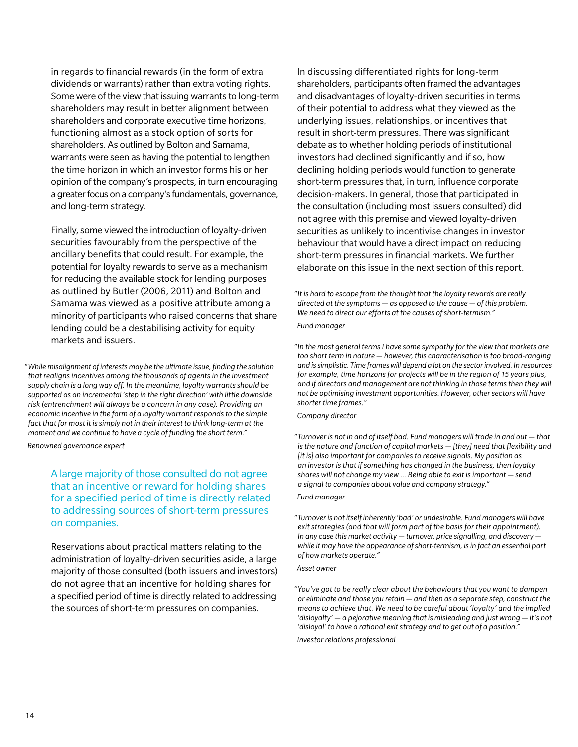in regards to financial rewards (in the form of extra dividends or warrants) rather than extra voting rights. Some were of the view that issuing warrants to long-term shareholders may result in better alignment between shareholders and corporate executive time horizons, functioning almost as a stock option of sorts for shareholders. As outlined by Bolton and Samama, warrants were seen as having the potential to lengthen the time horizon in which an investor forms his or her opinion of the company's prospects, in turn encouraging a greater focus on a company's fundamentals, governance, and long-term strategy.

Finally, some viewed the introduction of loyalty-driven securities favourably from the perspective of the ancillary benefits that could result. For example, the potential for loyalty rewards to serve as a mechanism for reducing the available stock for lending purposes as outlined by Butler (2006, 2011) and Bolton and Samama was viewed as a positive attribute among a minority of participants who raised concerns that share lending could be a destabilising activity for equity markets and issuers.

*"While misalignment of interests may be the ultimate issue, finding the solution that realigns incentives among the thousands of agents in the investment supply chain is a long way off. In the meantime, loyalty warrants should be supported as an incremental 'step in the right direction' with little downside risk (entrenchment will always be a concern in any case). Providing an economic incentive in the form of a loyalty warrant responds to the simple fact that for most it is simply not in their interest to think long-term at the moment and we continue to have a cycle of funding the short term."*

*Renowned governance expert*

A large majority of those consulted do not agree that an incentive or reward for holding shares for a specified period of time is directly related to addressing sources of short-term pressures on companies.

Reservations about practical matters relating to the administration of loyalty-driven securities aside, a large majority of those consulted (both issuers and investors) do not agree that an incentive for holding shares for a specified period of time is directly related to addressing the sources of short-term pressures on companies.

In discussing differentiated rights for long-term shareholders, participants often framed the advantages and disadvantages of loyalty-driven securities in terms of their potential to address what they viewed as the underlying issues, relationships, or incentives that result in short-term pressures. There was significant debate as to whether holding periods of institutional investors had declined significantly and if so, how declining holding periods would function to generate short-term pressures that, in turn, influence corporate decision-makers. In general, those that participated in the consultation (including most issuers consulted) did not agree with this premise and viewed loyalty-driven securities as unlikely to incentivise changes in investor behaviour that would have a direct impact on reducing short-term pressures in financial markets. We further elaborate on this issue in the next section of this report.

*"It is hard to escape from the thought that the loyalty rewards are really directed at the symptoms — as opposed to the cause — of this problem. We need to direct our efforts at the causes of short-termism." Fund manager*

*"In the most general terms I have some sympathy for the view that markets are too short term in nature — however, this characterisation is too broad-ranging and is simplistic. Time frames will depend a lot on the sector involved. In resources for example, time horizons for projects will be in the region of 15 years plus, and if directors and management are not thinking in those terms then they will not be optimising investment opportunities. However, other sectors will have shorter time frames."*

*Company director*

*"Turnover is not in and of itself bad. Fund managers will trade in and out — that is the nature and function of capital markets — [they] need that flexibility and [it is] also important for companies to receive signals. My position as an investor is that if something has changed in the business, then loyalty shares will not change my view … Being able to exit is important — send a signal to companies about value and company strategy." Fund manager*

*"Turnover is not itself inherently 'bad' or undesirable. Fund managers will have exit strategies (and that will form part of the basis for their appointment). In any case this market activity — turnover, price signalling, and discovery while it may have the appearance of short-termism, is in fact an essential part of how markets operate."* 

#### *Asset owner*

*"You've got to be really clear about the behaviours that you want to dampen or eliminate and those you retain — and then as a separate step, construct the means to achieve that. We need to be careful about 'loyalty' and the implied 'disloyalty' — a pejorative meaning that is misleading and just wrong — it's not 'disloyal' to have a rational exit strategy and to get out of a position."* 

*Investor relations professional*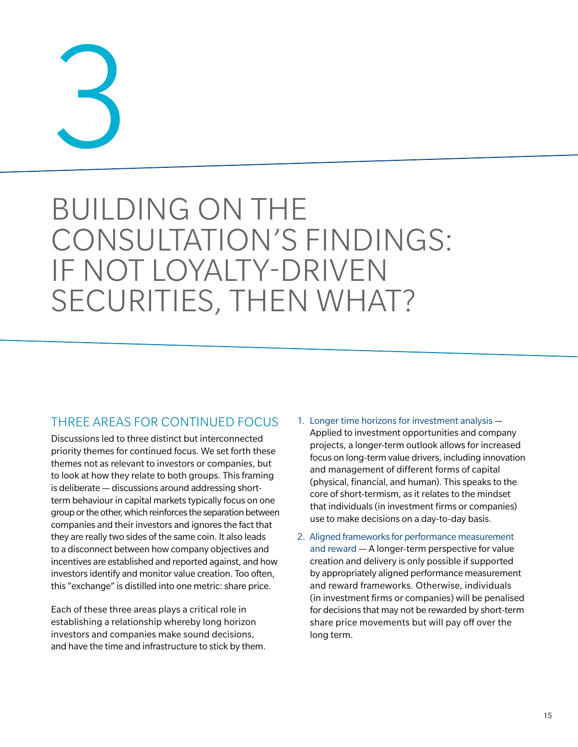# 3

# BUILDING ON THE CONSULTATION'S FINDINGS: IF NOT LOYALTY-DRIVEN SECURITIES, THEN WHAT?

#### THREE AREAS FOR CONTINUED FOCUS

Discussions led to three distinct but interconnected priority themes for continued focus. We set forth these themes not as relevant to investors or companies, but to look at how they relate to both groups. This framing is deliberate — discussions around addressing shortterm behaviour in capital markets typically focus on one group or the other, which reinforces the separation between companies and their investors and ignores the fact that they are really two sides of the same coin. It also leads to a disconnect between how company objectives and incentives are established and reported against, and how investors identify and monitor value creation. Too often, this "exchange" is distilled into one metric: share price.

Each of these three areas plays a critical role in establishing a relationship whereby long horizon investors and companies make sound decisions, and have the time and infrastructure to stick by them.

- 1. Longer time horizons for investment analysis Applied to investment opportunities and company projects, a longer-term outlook allows for increased focus on long-term value drivers, including innovation and management of different forms of capital (physical, financial, and human). This speaks to the core of short-termism, as it relates to the mindset that individuals (in investment firms or companies) use to make decisions on a day-to-day basis.
- 2. Aligned frameworks for performance measurement and reward — A longer-term perspective for value creation and delivery is only possible if supported by appropriately aligned performance measurement and reward frameworks. Otherwise, individuals (in investment firms or companies) will be penalised for decisions that may not be rewarded by short-term share price movements but will pay off over the long term.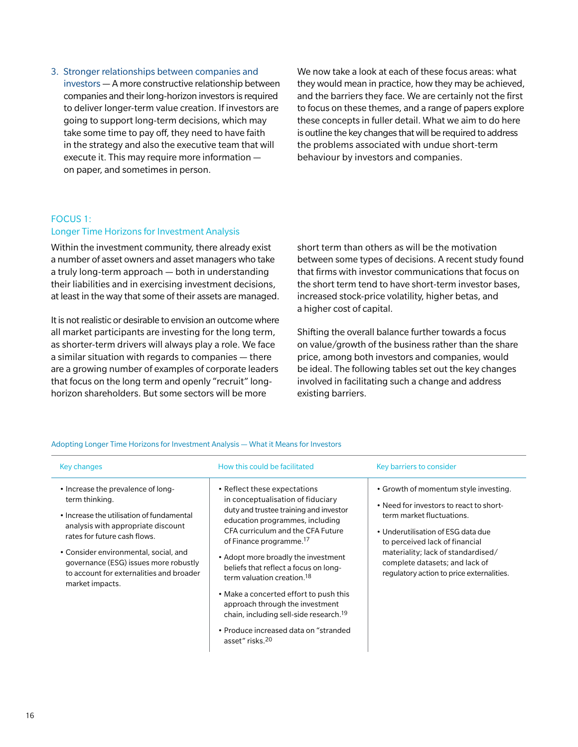#### 3. Stronger relationships between companies and

investors — A more constructive relationship between companies and their long-horizon investors is required to deliver longer-term value creation. If investors are going to support long-term decisions, which may take some time to pay off, they need to have faith in the strategy and also the executive team that will execute it. This may require more information on paper, and sometimes in person.

We now take a look at each of these focus areas: what they would mean in practice, how they may be achieved, and the barriers they face. We are certainly not the first to focus on these themes, and a range of papers explore these concepts in fuller detail. What we aim to do here is outline the key changes that will be required to address the problems associated with undue short-term behaviour by investors and companies.

#### Focus 1: Longer Time Horizons for Investment Analysis

Within the investment community, there already exist a number of asset owners and asset managers who take a truly long-term approach — both in understanding their liabilities and in exercising investment decisions, at least in the way that some of their assets are managed.

It is not realistic or desirable to envision an outcome where all market participants are investing for the long term, as shorter-term drivers will always play a role. We face a similar situation with regards to companies — there are a growing number of examples of corporate leaders that focus on the long term and openly "recruit" longhorizon shareholders. But some sectors will be more

short term than others as will be the motivation between some types of decisions. A recent study found that firms with investor communications that focus on the short term tend to have short-term investor bases, increased stock-price volatility, higher betas, and a higher cost of capital.

Shifting the overall balance further towards a focus on value/growth of the business rather than the share price, among both investors and companies, would be ideal. The following tables set out the key changes involved in facilitating such a change and address existing barriers.

| Key changes                                                                                                                                                                                                                                                                                                              | How this could be facilitated                                                                                                                                                                                                                                                                                                                                                                                                                                                                                                                                   | Key barriers to consider                                                                                                                                                                                                                                                                                   |
|--------------------------------------------------------------------------------------------------------------------------------------------------------------------------------------------------------------------------------------------------------------------------------------------------------------------------|-----------------------------------------------------------------------------------------------------------------------------------------------------------------------------------------------------------------------------------------------------------------------------------------------------------------------------------------------------------------------------------------------------------------------------------------------------------------------------------------------------------------------------------------------------------------|------------------------------------------------------------------------------------------------------------------------------------------------------------------------------------------------------------------------------------------------------------------------------------------------------------|
| • Increase the prevalence of long-<br>term thinking.<br>• Increase the utilisation of fundamental<br>analysis with appropriate discount<br>rates for future cash flows.<br>• Consider environmental, social, and<br>governance (ESG) issues more robustly<br>to account for externalities and broader<br>market impacts. | • Reflect these expectations<br>in conceptualisation of fiduciary<br>duty and trustee training and investor<br>education programmes, including<br>CFA curriculum and the CFA Future<br>of Finance programme. <sup>17</sup><br>• Adopt more broadly the investment<br>beliefs that reflect a focus on long-<br>term valuation creation. <sup>18</sup><br>• Make a concerted effort to push this<br>approach through the investment<br>chain, including sell-side research. <sup>19</sup><br>• Produce increased data on "stranded<br>asset" risks. <sup>20</sup> | • Growth of momentum style investing.<br>• Need for investors to react to short-<br>term market fluctuations.<br>• Underutilisation of ESG data due<br>to perceived lack of financial<br>materiality; lack of standardised/<br>complete datasets; and lack of<br>regulatory action to price externalities. |

Adopting Longer Time Horizons for Investment Analysis — What it Means for Investors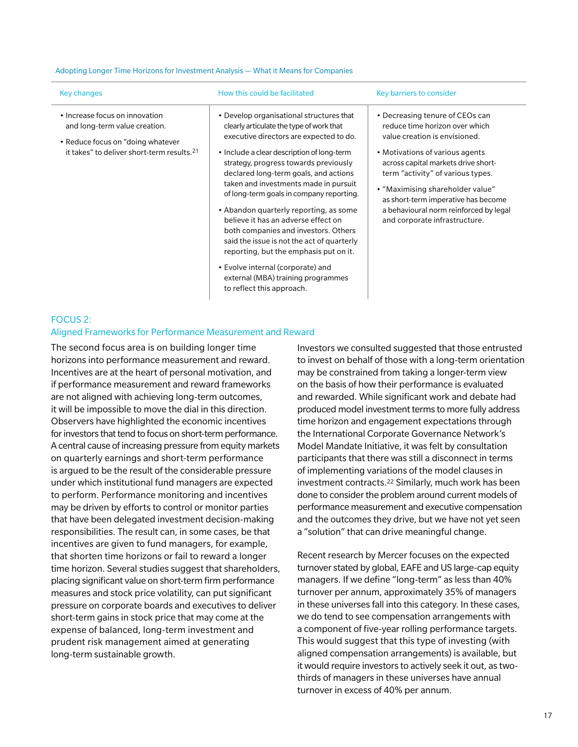#### Adopting Longer Time Horizons for Investment Analysis — What it Means for Companies

| Key changes                                                                                                                                                    | How this could be facilitated                                                                                                                                                                                                                                                                                                                                                                                                                                                                                                                                                                                                                                                 | Key barriers to consider                                                                                                                                                                                                                                                                                                                                                |
|----------------------------------------------------------------------------------------------------------------------------------------------------------------|-------------------------------------------------------------------------------------------------------------------------------------------------------------------------------------------------------------------------------------------------------------------------------------------------------------------------------------------------------------------------------------------------------------------------------------------------------------------------------------------------------------------------------------------------------------------------------------------------------------------------------------------------------------------------------|-------------------------------------------------------------------------------------------------------------------------------------------------------------------------------------------------------------------------------------------------------------------------------------------------------------------------------------------------------------------------|
| • Increase focus on innovation<br>and long-term value creation.<br>• Reduce focus on "doing whatever<br>it takes" to deliver short-term results. <sup>21</sup> | • Develop organisational structures that<br>clearly articulate the type of work that<br>executive directors are expected to do.<br>• Include a clear description of long-term<br>strategy, progress towards previously<br>declared long-term goals, and actions<br>taken and investments made in pursuit<br>of long-term goals in company reporting.<br>• Abandon quarterly reporting, as some<br>believe it has an adverse effect on<br>both companies and investors. Others<br>said the issue is not the act of quarterly<br>reporting, but the emphasis put on it.<br>• Evolve internal (corporate) and<br>external (MBA) training programmes<br>to reflect this approach. | • Decreasing tenure of CEOs can<br>reduce time horizon over which<br>value creation is envisioned.<br>• Motivations of various agents<br>across capital markets drive short-<br>term "activity" of various types.<br>• "Maximising shareholder value"<br>as short-term imperative has become<br>a behavioural norm reinforced by legal<br>and corporate infrastructure. |

#### Focus 2:

#### Aligned Frameworks for Performance Measurement and Reward

The second focus area is on building longer time horizons into performance measurement and reward. Incentives are at the heart of personal motivation, and if performance measurement and reward frameworks are not aligned with achieving long-term outcomes, it will be impossible to move the dial in this direction. Observers have highlighted the economic incentives for investors that tend to focus on short-term performance. A central cause of increasing pressure from equity markets on quarterly earnings and short-term performance is argued to be the result of the considerable pressure under which institutional fund managers are expected to perform. Performance monitoring and incentives may be driven by efforts to control or monitor parties that have been delegated investment decision-making responsibilities. The result can, in some cases, be that incentives are given to fund managers, for example, that shorten time horizons or fail to reward a longer time horizon. Several studies suggest that shareholders, placing significant value on short-term firm performance measures and stock price volatility, can put significant pressure on corporate boards and executives to deliver short-term gains in stock price that may come at the expense of balanced, long-term investment and prudent risk management aimed at generating long-term sustainable growth.

Investors we consulted suggested that those entrusted to invest on behalf of those with a long-term orientation may be constrained from taking a longer-term view on the basis of how their performance is evaluated and rewarded. While significant work and debate had produced model investment terms to more fully address time horizon and engagement expectations through the International Corporate Governance Network's Model Mandate Initiative, it was felt by consultation participants that there was still a disconnect in terms of implementing variations of the model clauses in investment contracts.22 Similarly, much work has been done to consider the problem around current models of performance measurement and executive compensation and the outcomes they drive, but we have not yet seen a "solution" that can drive meaningful change.

Recent research by Mercer focuses on the expected turnover stated by global, EAFE and US large-cap equity managers. If we define "long-term" as less than 40% turnover per annum, approximately 35% of managers in these universes fall into this category. In these cases, we do tend to see compensation arrangements with a component of five-year rolling performance targets. This would suggest that this type of investing (with aligned compensation arrangements) is available, but it would require investors to actively seek it out, as twothirds of managers in these universes have annual turnover in excess of 40% per annum.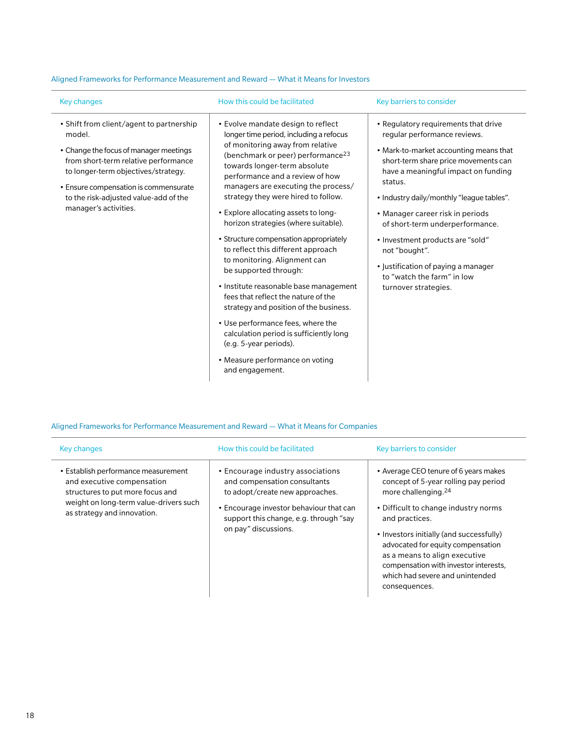| Key changes                                                                                                                                                                                                                                                                            | How this could be facilitated                                                                                                                                                                                                                                                                                                                                                                                                                                                                                                                                                                                                                                                                                                                                                                                                           | Key barriers to consider                                                                                                                                                                                                                                                                                                                                                                                                                                                       |
|----------------------------------------------------------------------------------------------------------------------------------------------------------------------------------------------------------------------------------------------------------------------------------------|-----------------------------------------------------------------------------------------------------------------------------------------------------------------------------------------------------------------------------------------------------------------------------------------------------------------------------------------------------------------------------------------------------------------------------------------------------------------------------------------------------------------------------------------------------------------------------------------------------------------------------------------------------------------------------------------------------------------------------------------------------------------------------------------------------------------------------------------|--------------------------------------------------------------------------------------------------------------------------------------------------------------------------------------------------------------------------------------------------------------------------------------------------------------------------------------------------------------------------------------------------------------------------------------------------------------------------------|
| • Shift from client/agent to partnership<br>model.<br>• Change the focus of manager meetings<br>from short-term relative performance<br>to longer-term objectives/strategy.<br>• Ensure compensation is commensurate<br>to the risk-adjusted value-add of the<br>manager's activities. | • Evolve mandate design to reflect<br>longer time period, including a refocus<br>of monitoring away from relative<br>(benchmark or peer) performance <sup>23</sup><br>towards longer-term absolute<br>performance and a review of how<br>managers are executing the process/<br>strategy they were hired to follow.<br>• Explore allocating assets to long-<br>horizon strategies (where suitable).<br>• Structure compensation appropriately<br>to reflect this different approach<br>to monitoring. Alignment can<br>be supported through:<br>• Institute reasonable base management<br>fees that reflect the nature of the<br>strategy and position of the business.<br>• Use performance fees, where the<br>calculation period is sufficiently long<br>(e.g. 5-year periods).<br>• Measure performance on voting<br>and engagement. | • Regulatory requirements that drive<br>regular performance reviews.<br>• Mark-to-market accounting means that<br>short-term share price movements can<br>have a meaningful impact on funding<br>status.<br>• Industry daily/monthly "league tables".<br>• Manager career risk in periods<br>of short-term underperformance.<br>• Investment products are "sold"<br>not "bought".<br>• Justification of paying a manager<br>to "watch the farm" in low<br>turnover strategies. |

#### Aligned Frameworks for Performance Measurement and Reward — What it Means for Investors

#### Aligned Frameworks for Performance Measurement and Reward — What it Means for Companies

| <b>Key changes</b>                                                                                                                                                             | How this could be facilitated                                                                                                                                                                                     | Key barriers to consider                                                                                                                                                                                                                                                                                                                                                                  |
|--------------------------------------------------------------------------------------------------------------------------------------------------------------------------------|-------------------------------------------------------------------------------------------------------------------------------------------------------------------------------------------------------------------|-------------------------------------------------------------------------------------------------------------------------------------------------------------------------------------------------------------------------------------------------------------------------------------------------------------------------------------------------------------------------------------------|
| • Establish performance measurement<br>and executive compensation<br>structures to put more focus and<br>weight on long-term value-drivers such<br>as strategy and innovation. | • Encourage industry associations<br>and compensation consultants<br>to adopt/create new approaches.<br>• Encourage investor behaviour that can<br>support this change, e.g. through "say<br>on pay" discussions. | • Average CEO tenure of 6 years makes<br>concept of 5-year rolling pay period<br>more challenging. <sup>24</sup><br>• Difficult to change industry norms<br>and practices.<br>• Investors initially (and successfully)<br>advocated for equity compensation<br>as a means to align executive<br>compensation with investor interests,<br>which had severe and unintended<br>consequences. |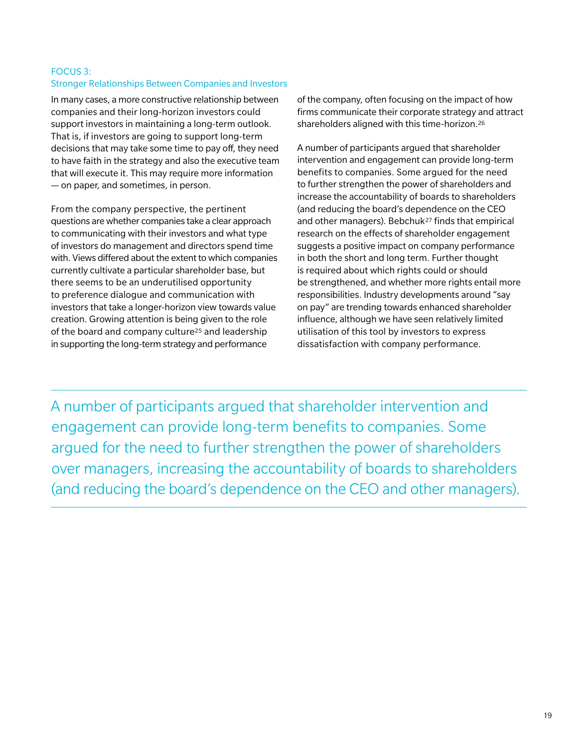#### Focus 3: Stronger Relationships Between Companies and Investors

In many cases, a more constructive relationship between companies and their long-horizon investors could support investors in maintaining a long-term outlook. That is, if investors are going to support long-term decisions that may take some time to pay off, they need to have faith in the strategy and also the executive team that will execute it. This may require more information — on paper, and sometimes, in person.

From the company perspective, the pertinent questions are whether companies take a clear approach to communicating with their investors and what type of investors do management and directors spend time with. Views differed about the extent to which companies currently cultivate a particular shareholder base, but there seems to be an underutilised opportunity to preference dialogue and communication with investors that take a longer-horizon view towards value creation. Growing attention is being given to the role of the board and company culture<sup>25</sup> and leadership in supporting the long-term strategy and performance

of the company, often focusing on the impact of how firms communicate their corporate strategy and attract shareholders aligned with this time-horizon.26

A number of participants argued that shareholder intervention and engagement can provide long-term benefits to companies. Some argued for the need to further strengthen the power of shareholders and increase the accountability of boards to shareholders (and reducing the board's dependence on the CEO and other managers). Bebchuk27 finds that empirical research on the effects of shareholder engagement suggests a positive impact on company performance in both the short and long term. Further thought is required about which rights could or should be strengthened, and whether more rights entail more responsibilities. Industry developments around "say on pay" are trending towards enhanced shareholder influence, although we have seen relatively limited utilisation of this tool by investors to express dissatisfaction with company performance.

A number of participants argued that shareholder intervention and engagement can provide long-term benefits to companies. Some argued for the need to further strengthen the power of shareholders over managers, increasing the accountability of boards to shareholders (and reducing the board's dependence on the CEO and other managers).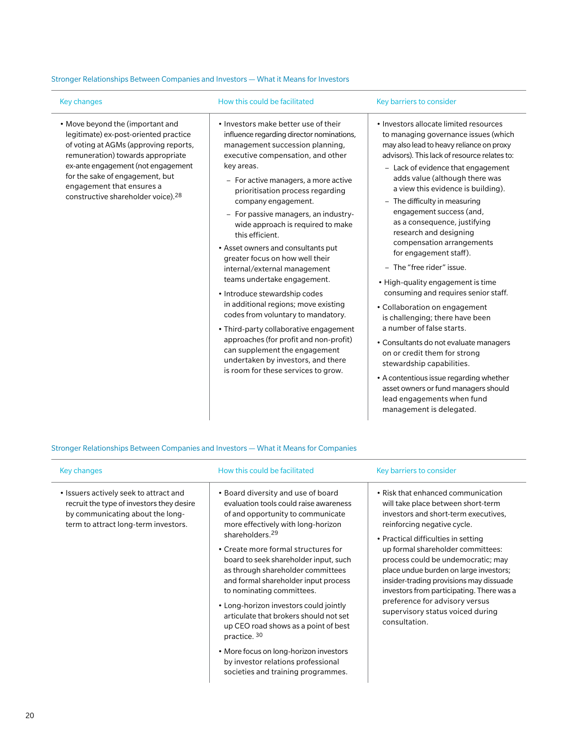#### Stronger Relationships Between Companies and Investors — What it Means for Investors

| <b>Key changes</b>                                                                                                                                                                                                                                                                                              | How this could be facilitated                                                                                                                                                                                                                                                                                                                                                                                                                                                                                                                                                                                                                                                                                                                                                                                                       | Key barriers to consider                                                                                                                                                                                                                                                                                                                                                                                                                                                                                                                                                                                                                                                                                                                                                                                                                                                                                                              |
|-----------------------------------------------------------------------------------------------------------------------------------------------------------------------------------------------------------------------------------------------------------------------------------------------------------------|-------------------------------------------------------------------------------------------------------------------------------------------------------------------------------------------------------------------------------------------------------------------------------------------------------------------------------------------------------------------------------------------------------------------------------------------------------------------------------------------------------------------------------------------------------------------------------------------------------------------------------------------------------------------------------------------------------------------------------------------------------------------------------------------------------------------------------------|---------------------------------------------------------------------------------------------------------------------------------------------------------------------------------------------------------------------------------------------------------------------------------------------------------------------------------------------------------------------------------------------------------------------------------------------------------------------------------------------------------------------------------------------------------------------------------------------------------------------------------------------------------------------------------------------------------------------------------------------------------------------------------------------------------------------------------------------------------------------------------------------------------------------------------------|
| • Move beyond the (important and<br>legitimate) ex-post-oriented practice<br>of voting at AGMs (approving reports,<br>remuneration) towards appropriate<br>ex-ante engagement (not engagement<br>for the sake of engagement, but<br>engagement that ensures a<br>constructive shareholder voice). <sup>28</sup> | . Investors make better use of their<br>influence regarding director nominations,<br>management succession planning,<br>executive compensation, and other<br>key areas.<br>- For active managers, a more active<br>prioritisation process regarding<br>company engagement.<br>- For passive managers, an industry-<br>wide approach is required to make<br>this efficient.<br>• Asset owners and consultants put<br>greater focus on how well their<br>internal/external management<br>teams undertake engagement.<br>• Introduce stewardship codes<br>in additional regions; move existing<br>codes from voluntary to mandatory.<br>• Third-party collaborative engagement<br>approaches (for profit and non-profit)<br>can supplement the engagement<br>undertaken by investors, and there<br>is room for these services to grow. | • Investors allocate limited resources<br>to managing governance issues (which<br>may also lead to heavy reliance on proxy<br>advisors). This lack of resource relates to:<br>- Lack of evidence that engagement<br>adds value (although there was<br>a view this evidence is building).<br>- The difficulty in measuring<br>engagement success (and,<br>as a consequence, justifying<br>research and designing<br>compensation arrangements<br>for engagement staff).<br>- The "free rider" issue.<br>• High-quality engagement is time<br>consuming and requires senior staff.<br>• Collaboration on engagement<br>is challenging; there have been<br>a number of false starts.<br>• Consultants do not evaluate managers<br>on or credit them for strong<br>stewardship capabilities.<br>• A contentious issue regarding whether<br>asset owners or fund managers should<br>lead engagements when fund<br>management is delegated. |

Stronger Relationships Between Companies and Investors — What it Means for Companies

| Key changes                                                                                                                                                     | How this could be facilitated                                                                                                                                                                                                                                                                                                                                                                                                                                                                                                                                                                                                                      | Key barriers to consider                                                                                                                                                                                                                                                                                                                                                                                                                                                                   |
|-----------------------------------------------------------------------------------------------------------------------------------------------------------------|----------------------------------------------------------------------------------------------------------------------------------------------------------------------------------------------------------------------------------------------------------------------------------------------------------------------------------------------------------------------------------------------------------------------------------------------------------------------------------------------------------------------------------------------------------------------------------------------------------------------------------------------------|--------------------------------------------------------------------------------------------------------------------------------------------------------------------------------------------------------------------------------------------------------------------------------------------------------------------------------------------------------------------------------------------------------------------------------------------------------------------------------------------|
| • Issuers actively seek to attract and<br>recruit the type of investors they desire<br>by communicating about the long-<br>term to attract long-term investors. | • Board diversity and use of board<br>evaluation tools could raise awareness<br>of and opportunity to communicate<br>more effectively with long-horizon<br>shareholders. <sup>29</sup><br>• Create more formal structures for<br>board to seek shareholder input, such<br>as through shareholder committees<br>and formal shareholder input process<br>to nominating committees.<br>• Long-horizon investors could jointly<br>articulate that brokers should not set<br>up CEO road shows as a point of best<br>practice. 30<br>• More focus on long-horizon investors<br>by investor relations professional<br>societies and training programmes. | • Risk that enhanced communication<br>will take place between short-term<br>investors and short-term executives,<br>reinforcing negative cycle.<br>• Practical difficulties in setting<br>up formal shareholder committees:<br>process could be undemocratic; may<br>place undue burden on large investors;<br>insider-trading provisions may dissuade<br>investors from participating. There was a<br>preference for advisory versus<br>supervisory status voiced during<br>consultation. |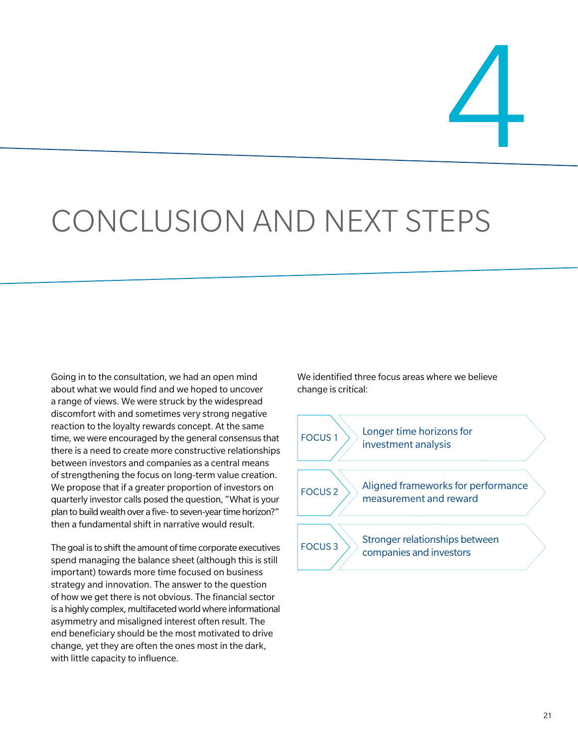4

# CONCLUSION AND NEXT STEPS

Going in to the consultation, we had an open mind about what we would find and we hoped to uncover a range of views. We were struck by the widespread discomfort with and sometimes very strong negative reaction to the loyalty rewards concept. At the same time, we were encouraged by the general consensus that there is a need to create more constructive relationships between investors and companies as a central means of strengthening the focus on long-term value creation. We propose that if a greater proportion of investors on quarterly investor calls posed the question, "What is your plan to build wealth over a five- to seven-year time horizon?" then a fundamental shift in narrative would result.

The goal is to shift the amount of time corporate executives spend managing the balance sheet (although this is still important) towards more time focused on business strategy and innovation. The answer to the question of how we get there is not obvious. The financial sector is a highly complex, multifaceted world where informational asymmetry and misaligned interest often result. The end beneficiary should be the most motivated to drive change, yet they are often the ones most in the dark, with little capacity to influence.

We identified three focus areas where we believe change is critical:

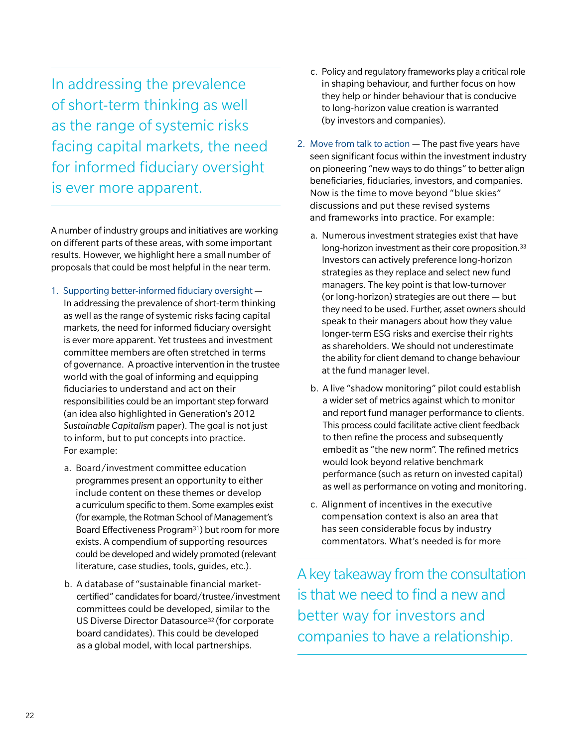In addressing the prevalence of short-term thinking as well as the range of systemic risks facing capital markets, the need for informed fiduciary oversight is ever more apparent.

A number of industry groups and initiatives are working on different parts of these areas, with some important results. However, we highlight here a small number of proposals that could be most helpful in the near term.

- 1. Supporting better-informed fiduciary oversight In addressing the prevalence of short-term thinking as well as the range of systemic risks facing capital markets, the need for informed fiduciary oversight is ever more apparent. Yet trustees and investment committee members are often stretched in terms of governance. A proactive intervention in the trustee world with the goal of informing and equipping fiduciaries to understand and act on their responsibilities could be an important step forward (an idea also highlighted in Generation's 2012 *Sustainable Capitalism* paper). The goal is not just to inform, but to put concepts into practice. For example:
	- a. Board/investment committee education programmes present an opportunity to either include content on these themes or develop a curriculum specific to them. Some examples exist (for example, the Rotman School of Management's Board Effectiveness Program31) but room for more exists. A compendium of supporting resources could be developed and widely promoted (relevant literature, case studies, tools, guides, etc.).
	- b. A database of "sustainable financial marketcertified" candidates for board/trustee/investment committees could be developed, similar to the US Diverse Director Datasource32 (for corporate board candidates). This could be developed as a global model, with local partnerships.
- c. Policy and regulatory frameworks play a critical role in shaping behaviour, and further focus on how they help or hinder behaviour that is conducive to long-horizon value creation is warranted (by investors and companies).
- 2. Move from talk to action The past five years have seen significant focus within the investment industry on pioneering "new ways to do things" to better align beneficiaries, fiduciaries, investors, and companies. Now is the time to move beyond "blue skies" discussions and put these revised systems and frameworks into practice. For example:
	- a. Numerous investment strategies exist that have long-horizon investment as their core proposition.33 Investors can actively preference long-horizon strategies as they replace and select new fund managers. The key point is that low-turnover (or long-horizon) strategies are out there — but they need to be used. Further, asset owners should speak to their managers about how they value longer-term ESG risks and exercise their rights as shareholders. We should not underestimate the ability for client demand to change behaviour at the fund manager level.
	- b. A live "shadow monitoring" pilot could establish a wider set of metrics against which to monitor and report fund manager performance to clients. This process could facilitate active client feedback to then refine the process and subsequently embedit as "the new norm". The refined metrics would look beyond relative benchmark performance (such as return on invested capital) as well as performance on voting and monitoring.
	- c. Alignment of incentives in the executive compensation context is also an area that has seen considerable focus by industry commentators. What's needed is for more

A key takeaway from the consultation is that we need to find a new and better way for investors and companies to have a relationship.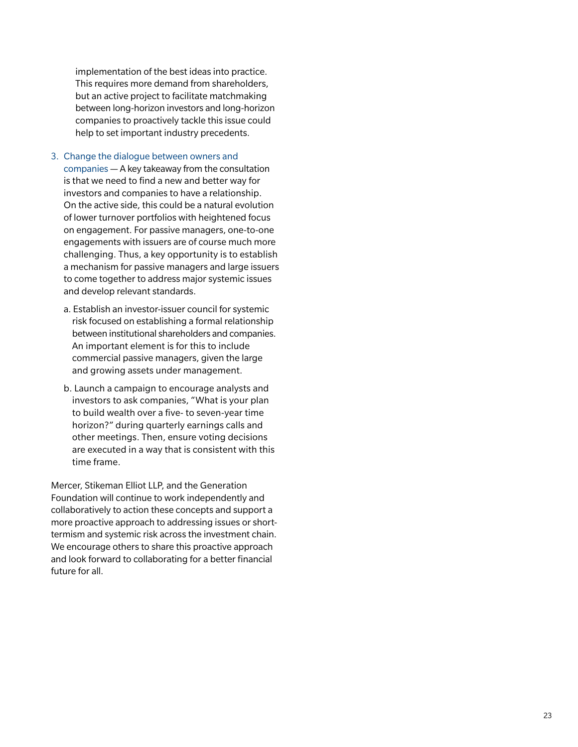implementation of the best ideas into practice. This requires more demand from shareholders, but an active project to facilitate matchmaking between long-horizon investors and long-horizon companies to proactively tackle this issue could help to set important industry precedents.

#### 3. Change the dialogue between owners and

companies — A key takeaway from the consultation is that we need to find a new and better way for investors and companies to have a relationship. On the active side, this could be a natural evolution of lower turnover portfolios with heightened focus on engagement. For passive managers, one-to-one engagements with issuers are of course much more challenging. Thus, a key opportunity is to establish a mechanism for passive managers and large issuers to come together to address major systemic issues and develop relevant standards.

- a. Establish an investor-issuer council for systemic risk focused on establishing a formal relationship between institutional shareholders and companies. An important element is for this to include commercial passive managers, given the large and growing assets under management.
- b. Launch a campaign to encourage analysts and investors to ask companies, "What is your plan to build wealth over a five- to seven-year time horizon?" during quarterly earnings calls and other meetings. Then, ensure voting decisions are executed in a way that is consistent with this time frame.

Mercer, Stikeman Elliot LLP, and the Generation Foundation will continue to work independently and collaboratively to action these concepts and support a more proactive approach to addressing issues or shorttermism and systemic risk across the investment chain. We encourage others to share this proactive approach and look forward to collaborating for a better financial future for all.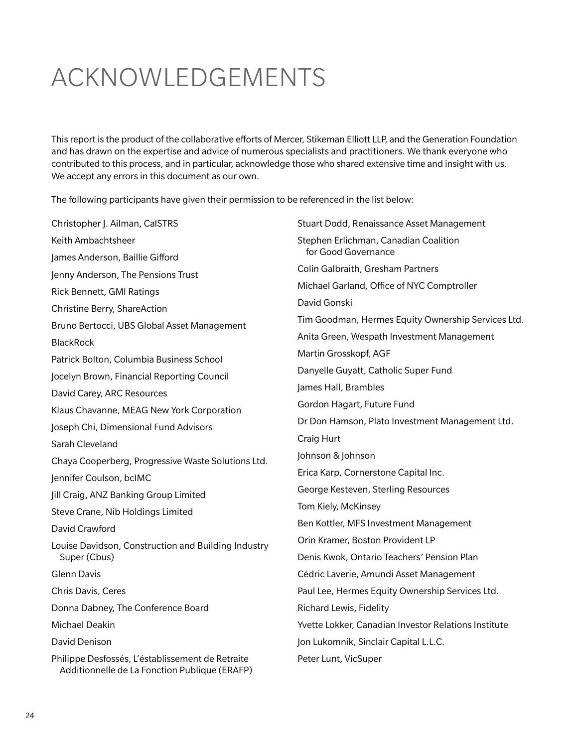## ACKNOWLEDGEMENTS

This report is the product of the collaborative efforts of Mercer, Stikeman Elliott LLP, and the Generation Foundation and has drawn on the expertise and advice of numerous specialists and practitioners. We thank everyone who contributed to this process, and in particular, acknowledge those who shared extensive time and insight with us. We accept any errors in this document as our own.

The following participants have given their permission to be referenced in the list below:

Christopher J. Ailman, CalSTRS Keith Ambachtsheer James Anderson, Baillie Gifford Jenny Anderson, The Pensions Trust Rick Bennett, GMI Ratings Christine Berry, ShareAction Bruno Bertocci, UBS Global Asset Management **BlackRock** Patrick Bolton, Columbia Business School Jocelyn Brown, Financial Reporting Council David Carey, ARC Resources Klaus Chavanne, MEAG New York Corporation Joseph Chi, Dimensional Fund Advisors Sarah Cleveland Chaya Cooperberg, Progressive Waste Solutions Ltd. Jennifer Coulson, bcIMC Jill Craig, ANZ Banking Group Limited Steve Crane, Nib Holdings Limited David Crawford Louise Davidson, Construction and Building Industry Super (Cbus) Glenn Davis Chris Davis, Ceres Donna Dabney, The Conference Board Michael Deakin David Denison Philippe Desfossés, L'éstablissement de Retraite Additionnelle de La Fonction Publique (ERAFP) Stuart Dodd, Renaissance Asset Management Stephen Erlichman, Canadian Coalition for Good Governance Colin Galbraith, Gresham Partners Michael Garland, Office of NYC Comptroller David Gonski Tim Goodman, Hermes Equity Ownership Services Ltd. Anita Green, Wespath Investment Management Martin Grosskopf, AGF Danyelle Guyatt, Catholic Super Fund James Hall, Brambles Gordon Hagart, Future Fund Dr Don Hamson, Plato Investment Management Ltd. Craig Hurt Johnson & Johnson Erica Karp, Cornerstone Capital Inc. George Kesteven, Sterling Resources Tom Kiely, McKinsey Ben Kottler, MFS Investment Management Orin Kramer, Boston Provident LP Denis Kwok, Ontario Teachers' Pension Plan Cédric Laverie, Amundi Asset Management Paul Lee, Hermes Equity Ownership Services Ltd. Richard Lewis, Fidelity Yvette Lokker, Canadian Investor Relations Institute Jon Lukomnik, Sinclair Capital L.L.C. Peter Lunt, VicSuper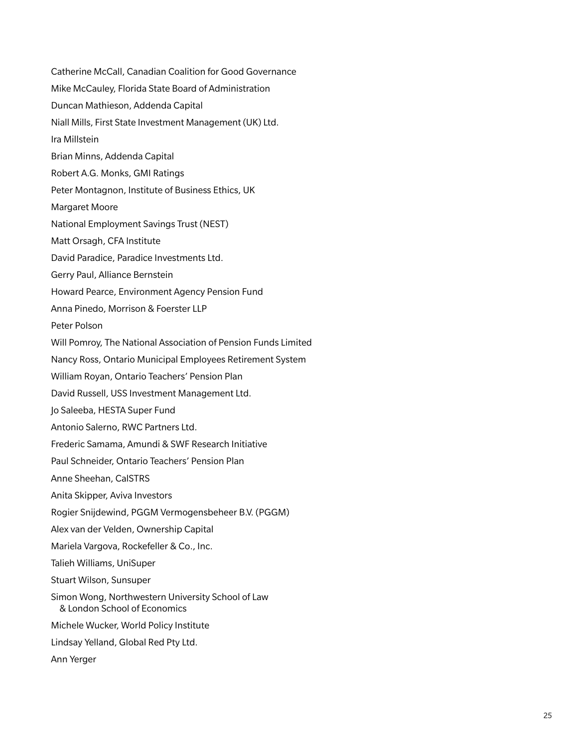Catherine McCall, Canadian Coalition for Good Governance Mike McCauley, Florida State Board of Administration Duncan Mathieson, Addenda Capital Niall Mills, First State Investment Management (UK) Ltd. Ira Millstein Brian Minns, Addenda Capital Robert A.G. Monks, GMI Ratings Peter Montagnon, Institute of Business Ethics, UK Margaret Moore National Employment Savings Trust (NEST) Matt Orsagh, CFA Institute David Paradice, Paradice Investments Ltd. Gerry Paul, Alliance Bernstein Howard Pearce, Environment Agency Pension Fund Anna Pinedo, Morrison & Foerster LLP Peter Polson Will Pomroy, The National Association of Pension Funds Limited Nancy Ross, Ontario Municipal Employees Retirement System William Royan, Ontario Teachers' Pension Plan David Russell, USS Investment Management Ltd. Jo Saleeba, HESTA Super Fund Antonio Salerno, RWC Partners Ltd. Frederic Samama, Amundi & SWF Research Initiative Paul Schneider, Ontario Teachers' Pension Plan Anne Sheehan, CalSTRS Anita Skipper, Aviva Investors Rogier Snijdewind, PGGM Vermogensbeheer B.V. (PGGM) Alex van der Velden, Ownership Capital Mariela Vargova, Rockefeller & Co., Inc. Talieh Williams, UniSuper Stuart Wilson, Sunsuper Simon Wong, Northwestern University School of Law & London School of Economics Michele Wucker, World Policy Institute Lindsay Yelland, Global Red Pty Ltd. Ann Yerger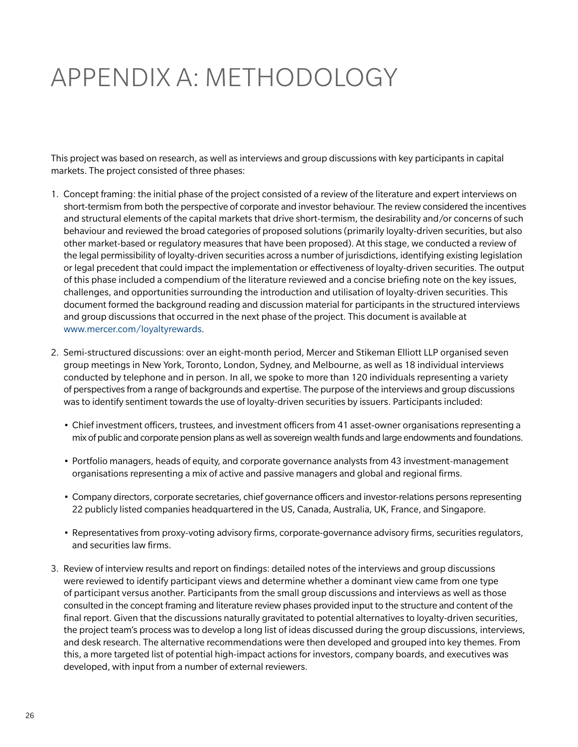# APPENDIX A: METHODOLOGY

This project was based on research, as well as interviews and group discussions with key participants in capital markets. The project consisted of three phases:

- 1. Concept framing: the initial phase of the project consisted of a review of the literature and expert interviews on short-termism from both the perspective of corporate and investor behaviour. The review considered the incentives and structural elements of the capital markets that drive short-termism, the desirability and/or concerns of such behaviour and reviewed the broad categories of proposed solutions (primarily loyalty-driven securities, but also other market-based or regulatory measures that have been proposed). At this stage, we conducted a review of the legal permissibility of loyalty-driven securities across a number of jurisdictions, identifying existing legislation or legal precedent that could impact the implementation or effectiveness of loyalty-driven securities. The output of this phase included a compendium of the literature reviewed and a concise briefing note on the key issues, challenges, and opportunities surrounding the introduction and utilisation of loyalty-driven securities. This document formed the background reading and discussion material for participants in the structured interviews and group discussions that occurred in the next phase of the project. This document is available at www.mercer.com/loyaltyrewards.
- 2. Semi-structured discussions: over an eight-month period, Mercer and Stikeman Elliott LLP organised seven group meetings in New York, Toronto, London, Sydney, and Melbourne, as well as 18 individual interviews conducted by telephone and in person. In all, we spoke to more than 120 individuals representing a variety of perspectives from a range of backgrounds and expertise. The purpose of the interviews and group discussions was to identify sentiment towards the use of loyalty-driven securities by issuers. Participants included:
	- • Chief investment officers, trustees, and investment officers from 41 asset-owner organisations representing a mix of public and corporate pension plans as well as sovereign wealth funds and large endowments and foundations.
	- • Portfolio managers, heads of equity, and corporate governance analysts from 43 investment-management organisations representing a mix of active and passive managers and global and regional firms.
	- • Company directors, corporate secretaries, chief governance officers and investor-relations persons representing 22 publicly listed companies headquartered in the US, Canada, Australia, UK, France, and Singapore.
	- • Representatives from proxy-voting advisory firms, corporate-governance advisory firms, securities regulators, and securities law firms.
- 3. Review of interview results and report on findings: detailed notes of the interviews and group discussions were reviewed to identify participant views and determine whether a dominant view came from one type of participant versus another. Participants from the small group discussions and interviews as well as those consulted in the concept framing and literature review phases provided input to the structure and content of the final report. Given that the discussions naturally gravitated to potential alternatives to loyalty-driven securities, the project team's process was to develop a long list of ideas discussed during the group discussions, interviews, and desk research. The alternative recommendations were then developed and grouped into key themes. From this, a more targeted list of potential high-impact actions for investors, company boards, and executives was developed, with input from a number of external reviewers.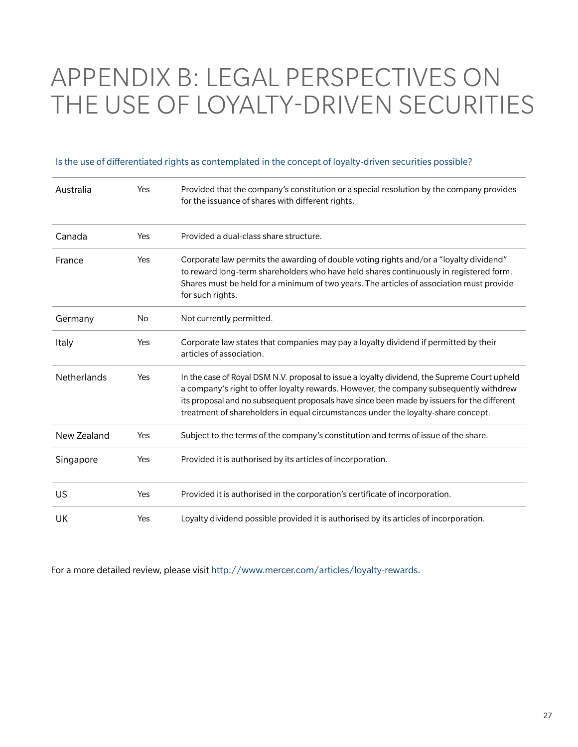## APPENDIX B: LEGAL PERSPECTIVES ON THE USE OF LOYALTY-DRIVEN SECURITIES

#### Is the use of differentiated rights as contemplated in the concept of loyalty-driven securities possible?

| Australia   | Yes | Provided that the company's constitution or a special resolution by the company provides<br>for the issuance of shares with different rights.                                                                                                                                                                                                                             |
|-------------|-----|---------------------------------------------------------------------------------------------------------------------------------------------------------------------------------------------------------------------------------------------------------------------------------------------------------------------------------------------------------------------------|
| Canada      | Yes | Provided a dual-class share structure.                                                                                                                                                                                                                                                                                                                                    |
| France      | Yes | Corporate law permits the awarding of double voting rights and/or a "loyalty dividend"<br>to reward long-term shareholders who have held shares continuously in registered form.<br>Shares must be held for a minimum of two years. The articles of association must provide<br>for such rights.                                                                          |
| Germany     | No  | Not currently permitted.                                                                                                                                                                                                                                                                                                                                                  |
| Italy       | Yes | Corporate law states that companies may pay a loyalty dividend if permitted by their<br>articles of association.                                                                                                                                                                                                                                                          |
| Netherlands | Yes | In the case of Royal DSM N.V. proposal to issue a loyalty dividend, the Supreme Court upheld<br>a company's right to offer loyalty rewards. However, the company subsequently withdrew<br>its proposal and no subsequent proposals have since been made by issuers for the different<br>treatment of shareholders in equal circumstances under the loyalty-share concept. |
| New Zealand | Yes | Subject to the terms of the company's constitution and terms of issue of the share.                                                                                                                                                                                                                                                                                       |
| Singapore   | Yes | Provided it is authorised by its articles of incorporation.                                                                                                                                                                                                                                                                                                               |
| US          | Yes | Provided it is authorised in the corporation's certificate of incorporation.                                                                                                                                                                                                                                                                                              |
| UK          | Yes | Loyalty dividend possible provided it is authorised by its articles of incorporation.                                                                                                                                                                                                                                                                                     |

For a more detailed review, please visit http://www.mercer.com/articles/loyalty-rewards.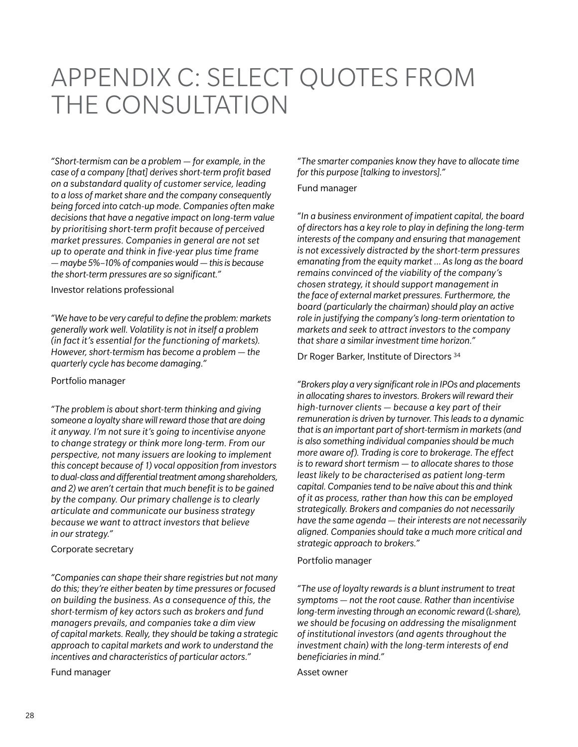## APPENDIX C: SELECT QUOTES FROM THE CONSULTATION

*"Short-termism can be a problem — for example, in the case of a company [that] derives short-term profit based on a substandard quality of customer service, leading to a loss of market share and the company consequently being forced into catch-up mode. Companies often make decisions that have a negative impact on long-term value by prioritising short-term profit because of perceived market pressures. Companies in general are not set up to operate and think in five-year plus time frame — maybe 5%–10% of companies would — this is because the short-term pressures are so significant."*

Investor relations professional

*"We have to be very careful to define the problem: markets generally work well. Volatility is not in itself a problem (in fact it's essential for the functioning of markets). However, short-termism has become a problem — the quarterly cycle has become damaging."*

#### Portfolio manager

*"The problem is about short-term thinking and giving someone a loyalty share will reward those that are doing it anyway. I'm not sure it's going to incentivise anyone to change strategy or think more long-term. From our perspective, not many issuers are looking to implement this concept because of 1) vocal opposition from investors to dual-class and differential treatment among shareholders, and 2) we aren't certain that much benefit is to be gained by the company. Our primary challenge is to clearly articulate and communicate our business strategy because we want to attract investors that believe in our strategy."*

#### Corporate secretary

*"Companies can shape their share registries but not many do this; they're either beaten by time pressures or focused on building the business. As a consequence of this, the short-termism of key actors such as brokers and fund managers prevails, and companies take a dim view of capital markets. Really, they should be taking a strategic approach to capital markets and work to understand the incentives and characteristics of particular actors."*

Fund manager

*"The smarter companies know they have to allocate time for this purpose [talking to investors]."*

#### Fund manager

*"In a business environment of impatient capital, the board of directors has a key role to play in defining the long-term interests of the company and ensuring that management is not excessively distracted by the short-term pressures emanating from the equity market … As long as the board remains convinced of the viability of the company's chosen strategy, it should support management in the face of external market pressures. Furthermore, the board (particularly the chairman) should play an active role in justifying the company's long-term orientation to markets and seek to attract investors to the company that share a similar investment time horizon."*

Dr Roger Barker, Institute of Directors 34

*"Brokers play a very significant role in IPOs and placements in allocating shares to investors. Brokers will reward their high-turnover clients — because a key part of their remuneration is driven by turnover. This leads to a dynamic that is an important part of short-termism in markets (and is also something individual companies should be much more aware of). Trading is core to brokerage. The effect is to reward short termism — to allocate shares to those least likely to be characterised as patient long-term capital. Companies tend to be naïve about this and think of it as process, rather than how this can be employed strategically. Brokers and companies do not necessarily have the same agenda — their interests are not necessarily aligned. Companies should take a much more critical and strategic approach to brokers."*

#### Portfolio manager

*"The use of loyalty rewards is a blunt instrument to treat symptoms — not the root cause. Rather than incentivise long-term investing through an economic reward (L-share), we should be focusing on addressing the misalignment of institutional investors (and agents throughout the investment chain) with the long-term interests of end beneficiaries in mind."*

Asset owner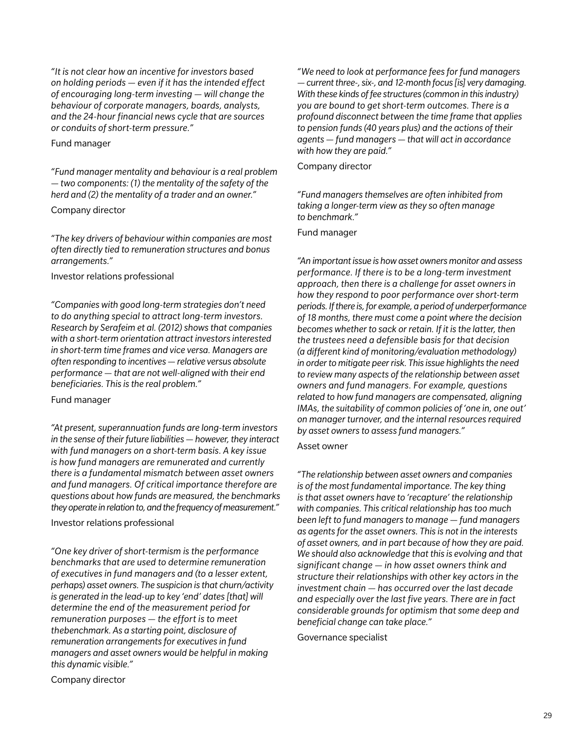*"It is not clear how an incentive for investors based on holding periods — even if it has the intended effect of encouraging long-term investing — will change the behaviour of corporate managers, boards, analysts, and the 24-hour financial news cycle that are sources or conduits of short-term pressure."*

#### Fund manager

*"Fund manager mentality and behaviour is a real problem — two components: (1) the mentality of the safety of the herd and (2) the mentality of a trader and an owner."*

#### Company director

*"The key drivers of behaviour within companies are most often directly tied to remuneration structures and bonus arrangements."*

#### Investor relations professional

*"Companies with good long-term strategies don't need to do anything special to attract long-term investors. Research by Serafeim et al. (2012) shows that companies with a short-term orientation attract investors interested in short-term time frames and vice versa. Managers are often responding to incentives — relative versus absolute performance — that are not well-aligned with their end beneficiaries. This is the real problem."*

#### Fund manager

*"At present, superannuation funds are long-term investors in the sense of their future liabilities — however, they interact with fund managers on a short-term basis. A key issue is how fund managers are remunerated and currently there is a fundamental mismatch between asset owners and fund managers. Of critical importance therefore are questions about how funds are measured, the benchmarks they operate in relation to, and the frequency of measurement."*

#### Investor relations professional

*"One key driver of short-termism is the performance benchmarks that are used to determine remuneration of executives in fund managers and (to a lesser extent, perhaps) asset owners. The suspicion is that churn/activity is generated in the lead-up to key 'end' dates [that] will determine the end of the measurement period for remuneration purposes — the effort is to meet thebenchmark. As a starting point, disclosure of remuneration arrangements for executives in fund managers and asset owners would be helpful in making this dynamic visible."*

Company director

*"We need to look at performance fees for fund managers — current three-, six-, and 12-month focus [is] very damaging. With these kinds of fee structures (common in this industry) you are bound to get short-term outcomes. There is a profound disconnect between the time frame that applies to pension funds (40 years plus) and the actions of their agents — fund managers — that will act in accordance with how they are paid."*

#### Company director

*"Fund managers themselves are often inhibited from taking a longer-term view as they so often manage to benchmark."*

#### Fund manager

*"An important issue is how asset owners monitor and assess performance. If there is to be a long-term investment approach, then there is a challenge for asset owners in how they respond to poor performance over short-term periods. If there is, for example, a period of underperformance of 18 months, there must come a point where the decision becomes whether to sack or retain. If it is the latter, then the trustees need a defensible basis for that decision (a different kind of monitoring/evaluation methodology) in order to mitigate peer risk. This issue highlights the need to review many aspects of the relationship between asset owners and fund managers. For example, questions related to how fund managers are compensated, aligning IMAs, the suitability of common policies of 'one in, one out' on manager turnover, and the internal resources required by asset owners to assess fund managers."*

#### Asset owner

*"The relationship between asset owners and companies is of the most fundamental importance. The key thing is that asset owners have to 'recapture' the relationship with companies. This critical relationship has too much been left to fund managers to manage — fund managers as agents for the asset owners. This is not in the interests of asset owners, and in part because of how they are paid. We should also acknowledge that this is evolving and that significant change — in how asset owners think and structure their relationships with other key actors in the investment chain — has occurred over the last decade and especially over the last five years. There are in fact considerable grounds for optimism that some deep and beneficial change can take place."*

Governance specialist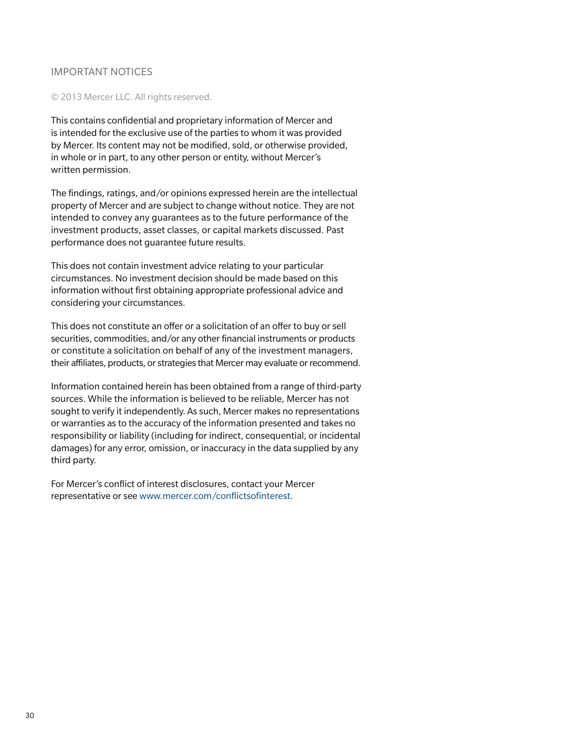#### Important notices

#### © 2013 Mercer LLC. All rights reserved.

This contains confidential and proprietary information of Mercer and is intended for the exclusive use of the parties to whom it was provided by Mercer. Its content may not be modified, sold, or otherwise provided, in whole or in part, to any other person or entity, without Mercer's written permission.

The findings, ratings, and/or opinions expressed herein are the intellectual property of Mercer and are subject to change without notice. They are not intended to convey any guarantees as to the future performance of the investment products, asset classes, or capital markets discussed. Past performance does not guarantee future results.

This does not contain investment advice relating to your particular circumstances. No investment decision should be made based on this information without first obtaining appropriate professional advice and considering your circumstances.

This does not constitute an offer or a solicitation of an offer to buy or sell securities, commodities, and/or any other financial instruments or products or constitute a solicitation on behalf of any of the investment managers, their affiliates, products, or strategies that Mercer may evaluate or recommend.

Information contained herein has been obtained from a range of third-party sources. While the information is believed to be reliable, Mercer has not sought to verify it independently. As such, Mercer makes no representations or warranties as to the accuracy of the information presented and takes no responsibility or liability (including for indirect, consequential, or incidental damages) for any error, omission, or inaccuracy in the data supplied by any third party.

For Mercer's conflict of interest disclosures, contact your Mercer representative or see www.mercer.com/conflictsofinterest.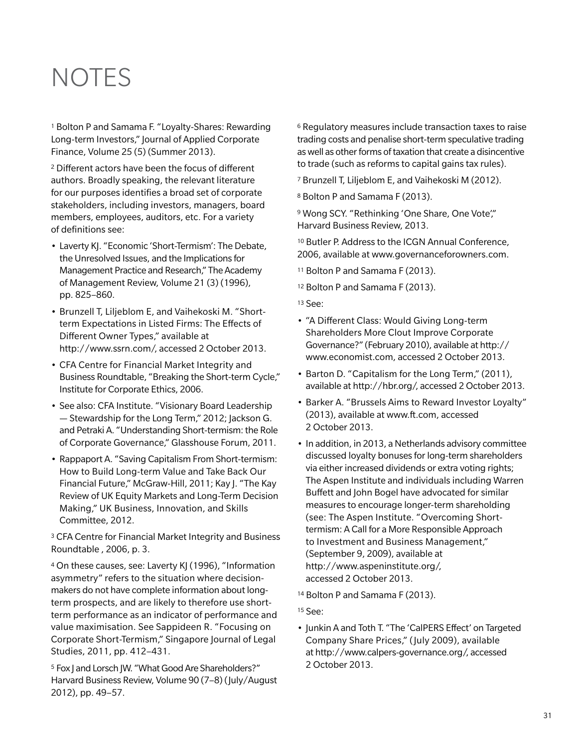## **NOTES**

1 Bolton P and Samama F. "Loyalty-Shares: Rewarding Long-term Investors," Journal of Applied Corporate Finance, Volume 25 (5) (Summer 2013).

2 Different actors have been the focus of different authors. Broadly speaking, the relevant literature for our purposes identifies a broad set of corporate stakeholders, including investors, managers, board members, employees, auditors, etc. For a variety of definitions see:

- Laverty KJ. "Economic 'Short-Termism': The Debate, the Unresolved Issues, and the Implications for Management Practice and Research," The Academy of Management Review, Volume 21 (3) (1996), pp. 825–860.
- • Brunzell T, Liljeblom E, and Vaihekoski M. "Shortterm Expectations in Listed Firms: The Effects of Different Owner Types," available at http://www.ssrn.com/, accessed 2 October 2013.
- CFA Centre for Financial Market Integrity and Business Roundtable, "Breaking the Short-term Cycle," Institute for Corporate Ethics, 2006.
- See also: CFA Institute. "Visionary Board Leadership — Stewardship for the Long Term," 2012; Jackson G. and Petraki A. "Understanding Short-termism: the Role of Corporate Governance," Glasshouse Forum, 2011.
- Rappaport A. "Saving Capitalism From Short-termism: How to Build Long-term Value and Take Back Our Financial Future," McGraw-Hill, 2011; Kay J. "The Kay Review of UK Equity Markets and Long-Term Decision Making," UK Business, Innovation, and Skills Committee, 2012.

3 CFA Centre for Financial Market Integrity and Business Roundtable , 2006, p. 3.

4 On these causes, see: Laverty KJ (1996), "Information asymmetry" refers to the situation where decisionmakers do not have complete information about longterm prospects, and are likely to therefore use shortterm performance as an indicator of performance and value maximisation. See Sappideen R. "Focusing on Corporate Short-Termism," Singapore Journal of Legal Studies, 2011, pp. 412–431.

5 Fox J and Lorsch JW. "What Good Are Shareholders?" Harvard Business Review, Volume 90 (7–8) (July/August 2012), pp. 49–57.

6 Regulatory measures include transaction taxes to raise trading costs and penalise short-term speculative trading as well as other forms of taxation that create a disincentive to trade (such as reforms to capital gains tax rules).

7 Brunzell T, Liljeblom E, and Vaihekoski M (2012).

8 Bolton P and Samama F (2013).

<sup>9</sup> Wong SCY. "Rethinking 'One Share, One Vote'," Harvard Business Review, 2013.

10 Butler P. Address to the ICGN Annual Conference, 2006, available at www.governanceforowners.com.

11 Bolton P and Samama F (2013).

12 Bolton P and Samama F (2013).

- 13 See:
- "A Different Class: Would Giving Long-term Shareholders More Clout Improve Corporate Governance?" (February 2010), available at http:// www.economist.com, accessed 2 October 2013.
- Barton D. "Capitalism for the Long Term," (2011), available at http://hbr.org/, accessed 2 October 2013.
- Barker A. "Brussels Aims to Reward Investor Loyalty" (2013), available at www.ft.com, accessed 2 October 2013.
- In addition, in 2013, a Netherlands advisory committee discussed loyalty bonuses for long-term shareholders via either increased dividends or extra voting rights; The Aspen Institute and individuals including Warren Buffett and John Bogel have advocated for similar measures to encourage longer-term shareholding (see: The Aspen Institute. "Overcoming Shorttermism: A Call for a More Responsible Approach to Investment and Business Management," (September 9, 2009), available at http://www.aspeninstitute.org/, accessed 2 October 2013.
- 14 Bolton P and Samama F (2013).
- 15 See:
- Junkin A and Toth T. "The 'CalPERS Effect' on Targeted Company Share Prices," ( July 2009), available at http://www.calpers-governance.org/, accessed 2 October 2013.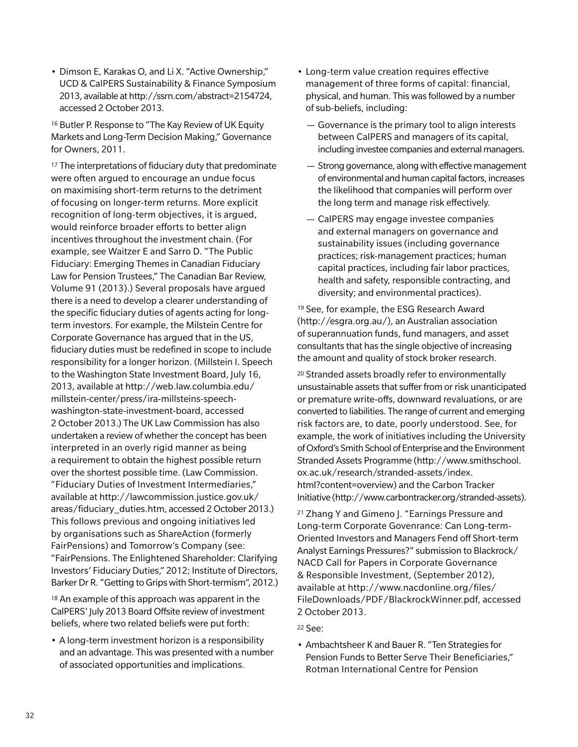• Dimson E, Karakas O, and Li X. "Active Ownership," UCD & CalPERS Sustainability & Finance Symposium 2013, available at http://ssrn.com/abstract=2154724, accessed 2 October 2013.

16 Butler P. Response to "The Kay Review of UK Equity Markets and Long-Term Decision Making," Governance for Owners, 2011.

<sup>17</sup> The interpretations of fiduciary duty that predominate were often argued to encourage an undue focus on maximising short-term returns to the detriment of focusing on longer-term returns. More explicit recognition of long-term objectives, it is argued, would reinforce broader efforts to better align incentives throughout the investment chain. (For example, see Waitzer E and Sarro D. "The Public Fiduciary: Emerging Themes in Canadian Fiduciary Law for Pension Trustees," The Canadian Bar Review, Volume 91 (2013).) Several proposals have argued there is a need to develop a clearer understanding of the specific fiduciary duties of agents acting for longterm investors. For example, the Milstein Centre for Corporate Governance has argued that in the US, fiduciary duties must be redefined in scope to include responsibility for a longer horizon. (Millstein I. Speech to the Washington State Investment Board, July 16, 2013, available at http://web.law.columbia.edu/ millstein-center/press/ira-millsteins-speechwashington-state-investment-board, accessed 2 October 2013.) The UK Law Commission has also undertaken a review of whether the concept has been interpreted in an overly rigid manner as being a requirement to obtain the highest possible return over the shortest possible time. (Law Commission. "Fiduciary Duties of Investment Intermediaries," available at http://lawcommission.justice.gov.uk/ areas/fiduciary\_duties.htm, accessed 2 October 2013.) This follows previous and ongoing initiatives led by organisations such as ShareAction (formerly FairPensions) and Tomorrow's Company (see: "FairPensions. The Enlightened Shareholder: Clarifying Investors' Fiduciary Duties," 2012; Institute of Directors, Barker Dr R. "Getting to Grips with Short-termism", 2012.)

18 An example of this approach was apparent in the CalPERS' July 2013 Board Offsite review of investment beliefs, where two related beliefs were put forth:

• A long-term investment horizon is a responsibility and an advantage. This was presented with a number of associated opportunities and implications.

- Long-term value creation requires effective management of three forms of capital: financial, physical, and human. This was followed by a number of sub-beliefs, including:
	- Governance is the primary tool to align interests between CalPERS and managers of its capital, including investee companies and external managers.
	- Strong governance, along with effective management of environmental and human capital factors, increases the likelihood that companies will perform over the long term and manage risk effectively.
	- CalPERS may engage investee companies and external managers on governance and sustainability issues (including governance practices; risk-management practices; human capital practices, including fair labor practices, health and safety, responsible contracting, and diversity; and environmental practices).

19 See, for example, the ESG Research Award (http://esgra.org.au/), an Australian association of superannuation funds, fund managers, and asset consultants that has the single objective of increasing the amount and quality of stock broker research.

20 Stranded assets broadly refer to environmentally unsustainable assets that suffer from or risk unanticipated or premature write-offs, downward revaluations, or are converted to liabilities. The range of current and emerging risk factors are, to date, poorly understood. See, for example, the work of initiatives including the University of Oxford's Smith School of Enterprise and the Environment Stranded Assets Programme (http://www.smithschool. ox.ac.uk/research/stranded-assets/index. html?content=overview) and the Carbon Tracker Initiative (http://www.carbontracker.org/stranded-assets).

21 Zhang Y and Gimeno J. "Earnings Pressure and Long-term Corporate Govenrance: Can Long-term-Oriented Investors and Managers Fend off Short-term Analyst Earnings Pressures?" submission to Blackrock/ NACD Call for Papers in Corporate Governance & Responsible Investment, (September 2012), available at http://www.nacdonline.org/files/ FileDownloads/PDF/BlackrockWinner.pdf, accessed 2 October 2013.

- 22 See:
- Ambachtsheer K and Bauer R. "Ten Strategies for Pension Funds to Better Serve Their Beneficiaries," Rotman International Centre for Pension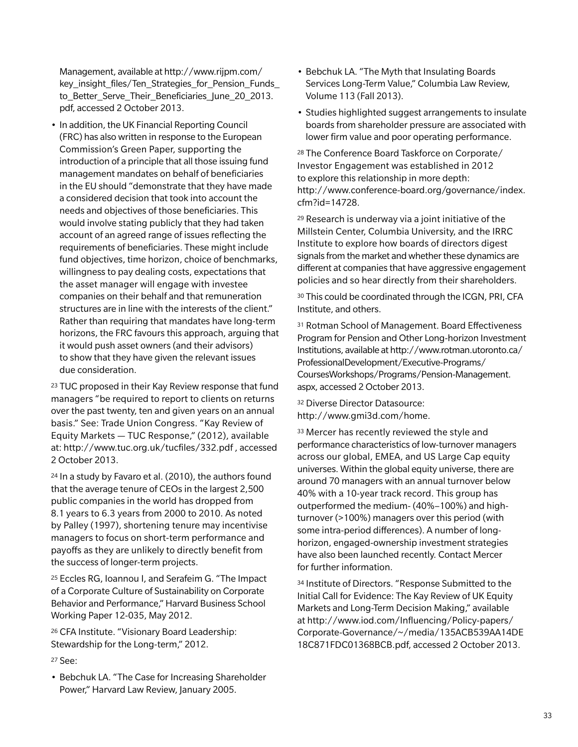Management, available at http://www.rijpm.com/ key insight files/Ten Strategies for Pension Funds to\_Better\_Serve\_Their\_Beneficiaries\_June\_20\_2013. pdf, accessed 2 October 2013.

• In addition, the UK Financial Reporting Council (FRC) has also written in response to the European Commission's Green Paper, supporting the introduction of a principle that all those issuing fund management mandates on behalf of beneficiaries in the EU should "demonstrate that they have made a considered decision that took into account the needs and objectives of those beneficiaries. This would involve stating publicly that they had taken account of an agreed range of issues reflecting the requirements of beneficiaries. These might include fund objectives, time horizon, choice of benchmarks, willingness to pay dealing costs, expectations that the asset manager will engage with investee companies on their behalf and that remuneration structures are in line with the interests of the client." Rather than requiring that mandates have long-term horizons, the FRC favours this approach, arguing that it would push asset owners (and their advisors) to show that they have given the relevant issues due consideration.

23 TUC proposed in their Kay Review response that fund managers "be required to report to clients on returns over the past twenty, ten and given years on an annual basis." See: Trade Union Congress. "Kay Review of Equity Markets — TUC Response," (2012), available at: http://www.tuc.org.uk/tucfiles/332.pdf , accessed 2 October 2013.

24 In a study by Favaro et al. (2010), the authors found that the average tenure of CEOs in the largest 2,500 public companies in the world has dropped from 8.1 years to 6.3 years from 2000 to 2010. As noted by Palley (1997), shortening tenure may incentivise managers to focus on short-term performance and payoffs as they are unlikely to directly benefit from the success of longer-term projects.

25 Eccles RG, Ioannou I, and Serafeim G. "The Impact of a Corporate Culture of Sustainability on Corporate Behavior and Performance," Harvard Business School Working Paper 12-035, May 2012.

26 CFA Institute. "Visionary Board Leadership: Stewardship for the Long-term," 2012.

#### 27 See:

• Bebchuk LA. "The Case for Increasing Shareholder Power," Harvard Law Review, January 2005.

- Bebchuk LA. "The Myth that Insulating Boards Services Long-Term Value," Columbia Law Review, Volume 113 (Fall 2013).
- Studies highlighted suggest arrangements to insulate boards from shareholder pressure are associated with lower firm value and poor operating performance.

28 The Conference Board Taskforce on Corporate/ Investor Engagement was established in 2012 to explore this relationship in more depth: http://www.conference-board.org/governance/index. cfm?id=14728.

29 Research is underway via a joint initiative of the Millstein Center, Columbia University, and the IRRC Institute to explore how boards of directors digest signals from the market and whether these dynamics are different at companies that have aggressive engagement policies and so hear directly from their shareholders.

30 This could be coordinated through the ICGN, PRI, CFA Institute, and others.

31 Rotman School of Management. Board Effectiveness Program for Pension and Other Long-horizon Investment Institutions, available at http://www.rotman.utoronto.ca/ ProfessionalDevelopment/Executive-Programs/ CoursesWorkshops/Programs/Pension-Management. aspx, accessed 2 October 2013.

32 Diverse Director Datasource: http://www.gmi3d.com/home.

33 Mercer has recently reviewed the style and performance characteristics of low-turnover managers across our global, EMEA, and US Large Cap equity universes. Within the global equity universe, there are around 70 managers with an annual turnover below 40% with a 10-year track record. This group has outperformed the medium- (40%–100%) and highturnover (>100%) managers over this period (with some intra-period differences). A number of longhorizon, engaged-ownership investment strategies have also been launched recently. Contact Mercer for further information.

34 Institute of Directors. "Response Submitted to the Initial Call for Evidence: The Kay Review of UK Equity Markets and Long-Term Decision Making," available at http://www.iod.com/Influencing/Policy-papers/ Corporate-Governance/~/media/135ACB539AA14DE 18C871FDC01368BCB.pdf, accessed 2 October 2013.